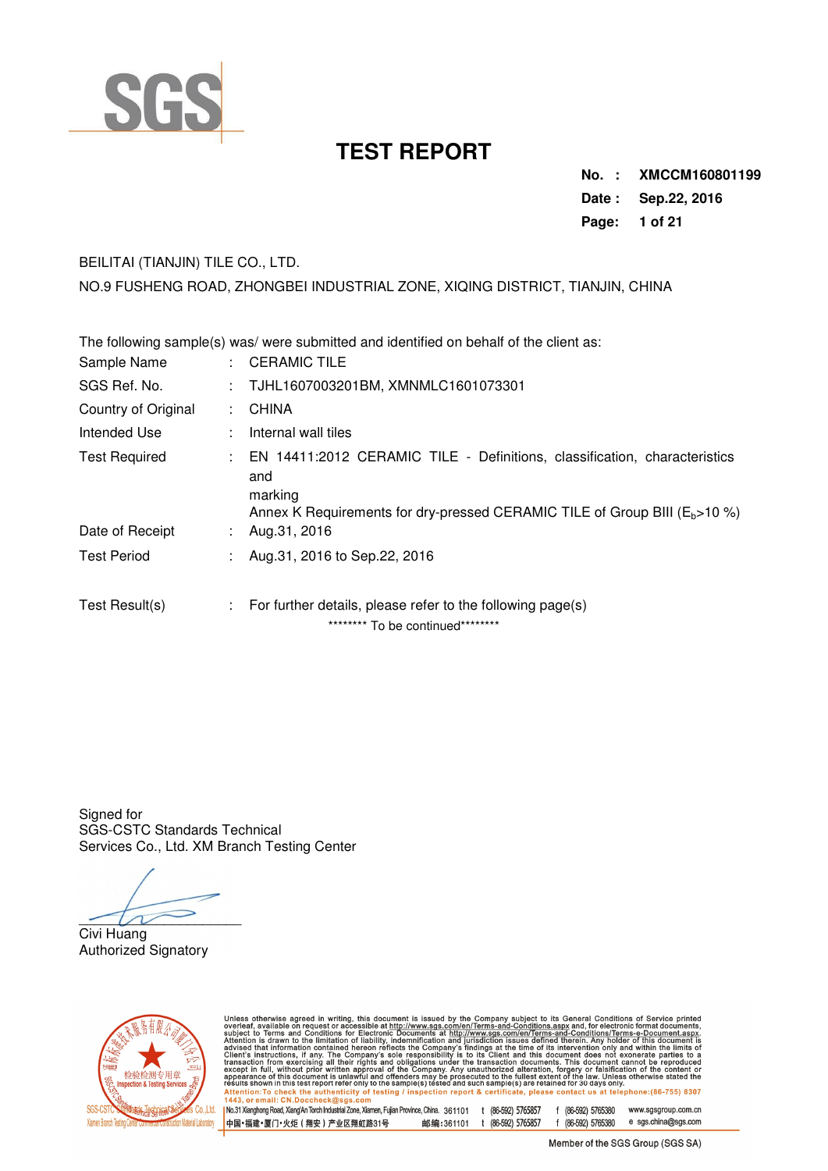

**No. : XMCCM160801199 Date : Sep.22, 2016 Page: 1 of 21** 

## BEILITAI (TIANJIN) TILE CO., LTD.

NO.9 FUSHENG ROAD, ZHONGBEI INDUSTRIAL ZONE, XIQING DISTRICT, TIANJIN, CHINA

| The following sample(s) was/ were submitted and identified on behalf of the client as: |  |                                                                                                                                                                                 |  |  |  |  |  |  |
|----------------------------------------------------------------------------------------|--|---------------------------------------------------------------------------------------------------------------------------------------------------------------------------------|--|--|--|--|--|--|
| Sample Name                                                                            |  | $\therefore$ CERAMIC TILE                                                                                                                                                       |  |  |  |  |  |  |
| SGS Ref. No.                                                                           |  | : TJHL1607003201BM, XMNMLC1601073301                                                                                                                                            |  |  |  |  |  |  |
| Country of Original                                                                    |  | : CHINA                                                                                                                                                                         |  |  |  |  |  |  |
| Intended Use                                                                           |  | : Internal wall tiles                                                                                                                                                           |  |  |  |  |  |  |
| <b>Test Required</b>                                                                   |  | : EN 14411:2012 CERAMIC TILE - Definitions, classification, characteristics<br>and<br>marking<br>Annex K Requirements for dry-pressed CERAMIC TILE of Group BIII ( $Eb$ > 10 %) |  |  |  |  |  |  |
| Date of Receipt                                                                        |  | : Aug. 31, 2016                                                                                                                                                                 |  |  |  |  |  |  |
| <b>Test Period</b>                                                                     |  | : Aug.31, 2016 to Sep.22, 2016                                                                                                                                                  |  |  |  |  |  |  |
| Test Result(s)                                                                         |  | $\therefore$ For further details, please refer to the following page(s)<br>********* To be continued *********                                                                  |  |  |  |  |  |  |

Signed for SGS-CSTC Standards Technical Services Co., Ltd. XM Branch Testing Center

 $-$ 

Civi Huang Authorized Signatory



Unless otherwise agreed in writing, this document is issued by the Company subject to its General Conditions of Service printed<br>overleaf, available on request or accessible at http://www.sgs.com/en/Terms-and-Conditions.as

| 1443, Or email: C.W.Doccheck@sgs.com<br>| No.31 Xianghong Road, Xiang'An Torch Industrial Zone, Xiamen, Fujian Province, China. 361101 t (86-592) 5765857<br>| 中国 •福建 •厦门 • 火炬(翔安)产业区翔虹路31号 邮编 = 361101 t (86-5 f (86-592) 5765380 www.sgsgroup.com.cn e sgs.china@sgs.com f (86-592) 5765380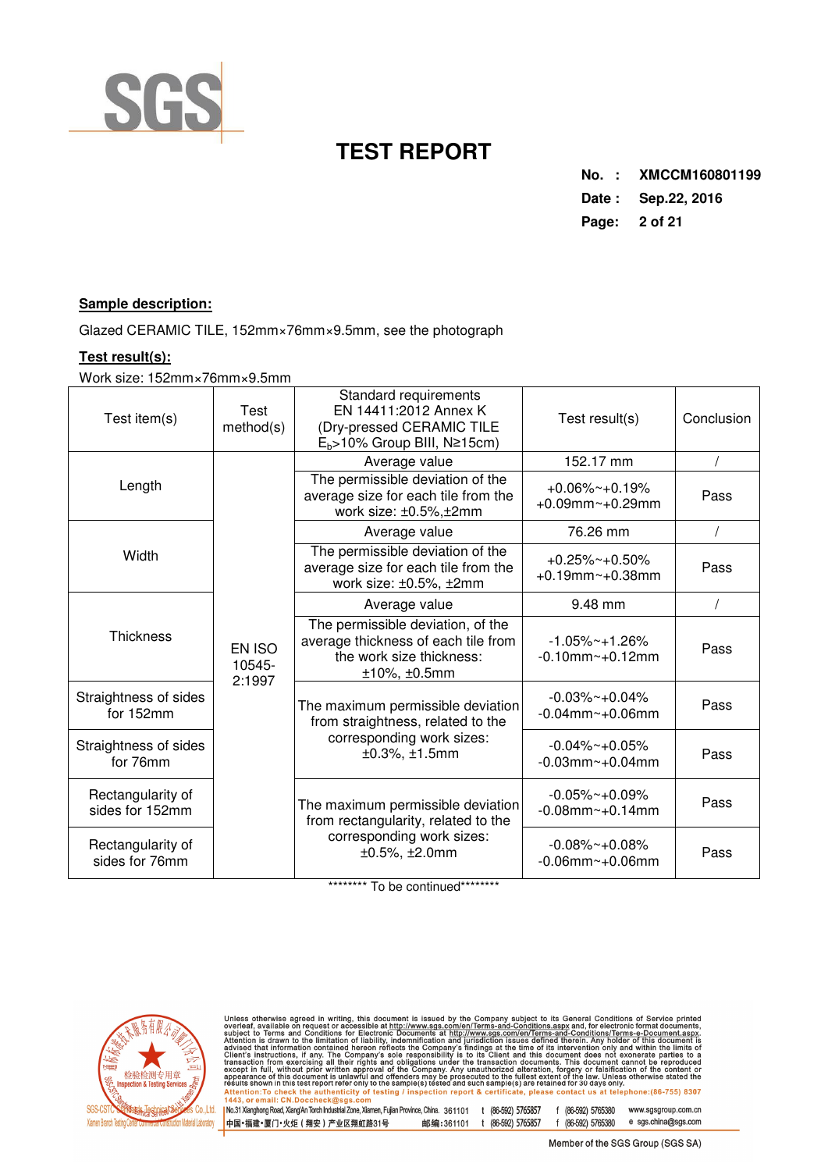

**No. : XMCCM160801199 Date : Sep.22, 2016 Page: 2 of 21** 

### **Sample description:**

Glazed CERAMIC TILE, 152mm×76mm×9.5mm, see the photograph

### **Test result(s):**

Work size: 152mm×76mm×9.5mm

| Test item(s)                         | Test<br>method(s)          | Standard requirements<br>EN 14411:2012 Annex K<br>(Dry-pressed CERAMIC TILE<br>$E_b$ >10% Group BIII, N≥15cm)           | Test result(s)                                    | Conclusion |
|--------------------------------------|----------------------------|-------------------------------------------------------------------------------------------------------------------------|---------------------------------------------------|------------|
|                                      |                            | Average value                                                                                                           | 152.17 mm                                         |            |
| Length                               |                            | The permissible deviation of the<br>average size for each tile from the<br>work size: ±0.5%,±2mm                        | $+0.06\%$ ~ +0.19%<br>$+0.09$ mm~ $+0.29$ mm      | Pass       |
|                                      |                            | Average value                                                                                                           | 76.26 mm                                          |            |
| Width                                |                            | The permissible deviation of the<br>average size for each tile from the<br>work size: ±0.5%, ±2mm                       | $+0.25\%$ ~ +0.50%<br>$+0.19$ mm~ $+0.38$ mm      | Pass       |
|                                      |                            | Average value                                                                                                           | 9.48 mm                                           |            |
| <b>Thickness</b>                     | EN ISO<br>10545-<br>2:1997 | The permissible deviation, of the<br>average thickness of each tile from<br>the work size thickness:<br>$±10\%, ±0.5mm$ | $-1.05\%$ ~ + 1.26%<br>$-0.10$ mm $\sim +0.12$ mm | Pass       |
| Straightness of sides<br>for 152mm   |                            | The maximum permissible deviation<br>from straightness, related to the                                                  | $-0.03\%$ ~ $+0.04\%$<br>$-0.04$ mm~ $+0.06$ mm   | Pass       |
| Straightness of sides<br>for 76mm    |                            | corresponding work sizes:<br>$±0.3\%, ±1.5mm$                                                                           | $-0.04\%$ ~ $+0.05\%$<br>$-0.03$ mm~ $+0.04$ mm   | Pass       |
| Rectangularity of<br>sides for 152mm |                            | The maximum permissible deviation<br>from rectangularity, related to the                                                | $-0.05\%$ ~ +0.09%<br>$-0.08$ mm~ $+0.14$ mm      | Pass       |
| Rectangularity of<br>sides for 76mm  |                            | corresponding work sizes:<br>$±0.5\%, ±2.0mm$                                                                           | $-0.08\%$ ~ +0.08%<br>$-0.06$ mm~ $+0.06$ mm      | Pass       |

\*\*\*\*\*\*\*\*\* To be continued\*\*\*\*\*\*\*\*\*



Unless otherwise agreed in writing, this document is issued by the Company subject to its General Conditions of Service printed<br>overleaf, available on request or accessible at http://www.sgs.com/en/Terms-and-Conditions.as

1 No.31 Xianghong Road, XiangAn Torch Industrial Zone, Xiamen, Fujian Province, China. 361101 t (86-592) 5765857 f (86-592) 5765380 www.sgsgroup.com.cn<br>|中国+福建+厦门+火炬(翔安)产业区翔虹路31号 邮编:361101 t (86-592) 5765857 f (86-592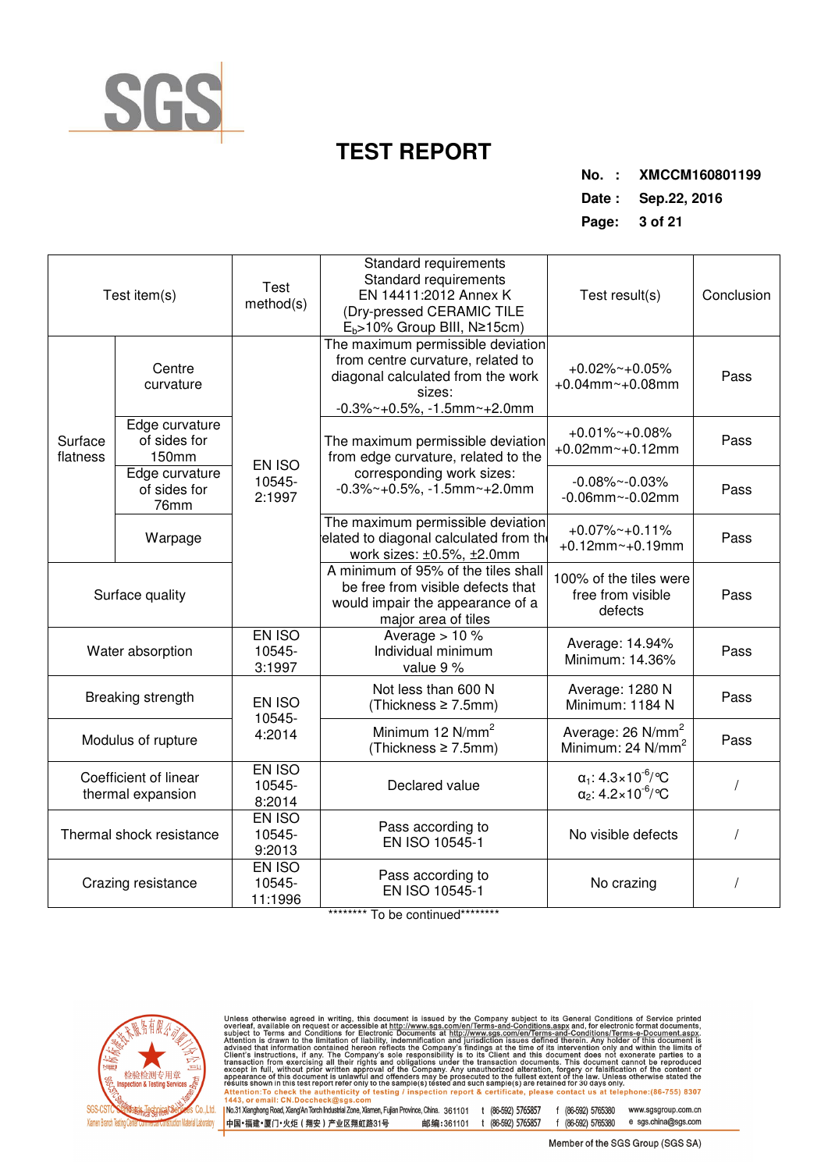

**No. : XMCCM160801199** 

**Date : Sep.22, 2016** 

| Test item(s)         |                                            | Test<br>method(s)           | Standard requirements<br>Standard requirements<br>EN 14411:2012 Annex K<br>(Dry-pressed CERAMIC TILE<br>$E_b$ >10% Group BIII, N≥15cm)                     | Test result(s)                                                                 | Conclusion |
|----------------------|--------------------------------------------|-----------------------------|------------------------------------------------------------------------------------------------------------------------------------------------------------|--------------------------------------------------------------------------------|------------|
|                      | Centre<br>curvature                        |                             | The maximum permissible deviation<br>from centre curvature, related to<br>diagonal calculated from the work<br>sizes:<br>$-0.3\%$ ~ +0.5%, -1.5mm ~ +2.0mm | $+0.02\%$ ~ +0.05%<br>$+0.04$ mm~ $+0.08$ mm                                   | Pass       |
| Surface<br>flatness  | Edge curvature<br>of sides for<br>150mm    | EN ISO                      | The maximum permissible deviation<br>from edge curvature, related to the                                                                                   | $+0.01\%$ ~ +0.08%<br>$+0.02$ mm~ $+0.12$ mm                                   | Pass       |
| of sides for<br>76mm | Edge curvature                             | 10545-<br>2:1997            | corresponding work sizes:<br>$-0.3\%$ ~ +0.5%, -1.5mm ~ +2.0mm                                                                                             | $-0.08\%$ ~ $-0.03\%$<br>$-0.06$ mm~ $-0.02$ mm                                | Pass       |
|                      | Warpage                                    |                             | The maximum permissible deviation<br>elated to diagonal calculated from the<br>work sizes: ±0.5%, ±2.0mm                                                   | $+0.07\%$ ~ $+0.11\%$<br>$+0.12$ mm~ $+0.19$ mm                                | Pass       |
| Surface quality      |                                            |                             | A minimum of 95% of the tiles shall<br>be free from visible defects that<br>would impair the appearance of a<br>major area of tiles                        | 100% of the tiles were<br>free from visible<br>defects                         | Pass       |
|                      | Water absorption                           | EN ISO<br>10545-<br>3:1997  | Average $> 10$ %<br>Individual minimum<br>value 9 %                                                                                                        | Average: 14.94%<br>Minimum: 14.36%                                             | Pass       |
|                      | Breaking strength                          | EN ISO<br>10545-            | Not less than 600 N<br>(Thickness ≥ 7.5mm)                                                                                                                 | Average: 1280 N<br>Minimum: 1184 N                                             | Pass       |
|                      | Modulus of rupture                         | 4:2014                      | Minimum 12 N/mm <sup>2</sup><br>(Thickness ≥ 7.5mm)                                                                                                        | Average: 26 N/mm <sup>2</sup><br>Minimum: 24 N/mm <sup>2</sup>                 | Pass       |
|                      | Coefficient of linear<br>thermal expansion | EN ISO<br>10545-<br>8:2014  | Declared value                                                                                                                                             | $\alpha_1$ : 4.3×10 <sup>-6</sup> /°C<br>$\alpha_2$ : 4.2×10 <sup>-6</sup> /°C |            |
|                      | Thermal shock resistance                   | EN ISO<br>10545-<br>9:2013  | Pass according to<br>EN ISO 10545-1                                                                                                                        | No visible defects                                                             |            |
|                      | Crazing resistance                         | EN ISO<br>10545-<br>11:1996 | Pass according to<br>EN ISO 10545-1                                                                                                                        | No crazing                                                                     |            |

\*\*\*\*\*\*\*\*\* To be continued\*\*\*\*\*\*\*\*\*



Unless otherwise agreed in writing, this document is issued by the Company subject to its General Conditions of Service printed<br>overleaf, available on request or accessible at http://www.sgs.com/en/Terms-and-Conditions.as

1 No.31 Xianghong Road, XiangAn Torch Industrial Zone, Xiamen, Fujian Province, China. 361101 t (86-592) 5765857 f (86-592) 5765380 www.sgsgroup.com.cn<br>|中国+福建+厦门+火炬(翔安)产业区翔虹路31号 邮编:361101 t (86-592) 5765857 f (86-592 f (86-592) 5765380 e sgs.china@sgs.com 中国•福建•厦门•火炬 ( 翔安 ) 产业区翔虹路31号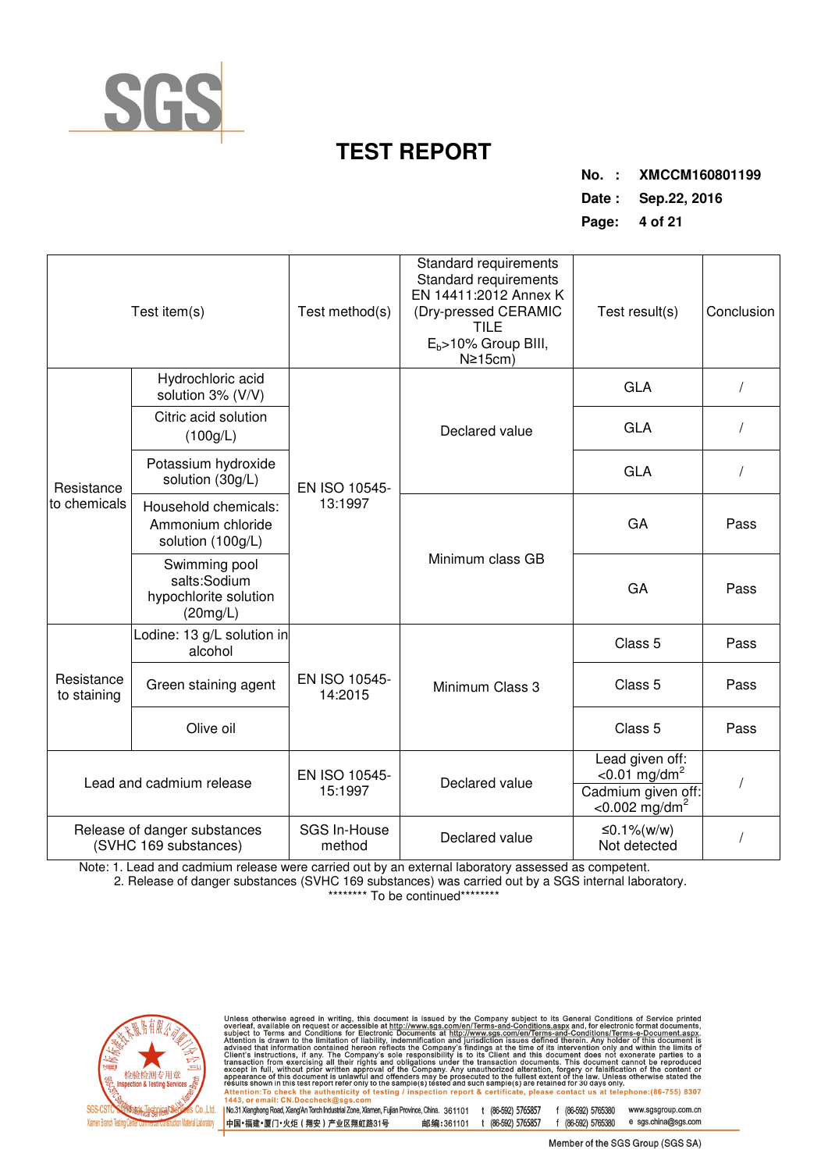

**No. : XMCCM160801199 Date : Sep.22, 2016** 

**Page: 4 of 21** 

| Test item(s)               |                                                                    | Test method(s)           | Standard requirements<br>Standard requirements<br>EN 14411:2012 Annex K<br>(Dry-pressed CERAMIC<br>TILE<br>$E_b$ >10% Group BIII,<br>$N\geq 15$ cm) | Test result(s)                                                                                       | Conclusion |
|----------------------------|--------------------------------------------------------------------|--------------------------|-----------------------------------------------------------------------------------------------------------------------------------------------------|------------------------------------------------------------------------------------------------------|------------|
|                            | Hydrochloric acid<br>solution 3% (V/V)                             |                          |                                                                                                                                                     | <b>GLA</b>                                                                                           |            |
|                            | Citric acid solution<br>(100g/L)                                   |                          | Declared value                                                                                                                                      | <b>GLA</b>                                                                                           |            |
| Resistance<br>to chemicals | Potassium hydroxide<br>solution (30g/L)                            | EN ISO 10545-            |                                                                                                                                                     | <b>GLA</b>                                                                                           |            |
|                            | Household chemicals:<br>Ammonium chloride<br>solution (100g/L)     | 13:1997                  |                                                                                                                                                     | GA                                                                                                   | Pass       |
|                            | Swimming pool<br>salts:Sodium<br>hypochlorite solution<br>(20mg/L) |                          | Minimum class GB                                                                                                                                    | GA                                                                                                   | Pass       |
|                            | Lodine: 13 g/L solution in<br>alcohol                              |                          |                                                                                                                                                     | Class <sub>5</sub>                                                                                   | Pass       |
| Resistance<br>to staining  | Green staining agent                                               | EN ISO 10545-<br>14:2015 | Minimum Class 3                                                                                                                                     | Class <sub>5</sub>                                                                                   | Pass       |
|                            | Olive oil                                                          |                          |                                                                                                                                                     | Class <sub>5</sub>                                                                                   | Pass       |
|                            | Lead and cadmium release                                           |                          | Declared value                                                                                                                                      | Lead given off:<br>$< 0.01$ mg/dm <sup>2</sup><br>Cadmium given off:<br>$<$ 0.002 mg/dm <sup>2</sup> |            |
|                            | Release of danger substances<br>(SVHC 169 substances)              | SGS In-House<br>method   | Declared value                                                                                                                                      | ≤0.1%(w/w)<br>Not detected                                                                           |            |

Note: 1. Lead and cadmium release were carried out by an external laboratory assessed as competent.

 2. Release of danger substances (SVHC 169 substances) was carried out by a SGS internal laboratory. \*\*\*\*\*\*\*\*\* To be continued\*\*\*\*\*\*\*\*\*



Unless otherwise agreed in writing, this document is issued by the Company subject to its General Conditions of Service printed<br>overleaf, available on request or accessible at http://www.sgs.com/en/Terms-and-Conditions.as

| No.31 Xianghong Road, Xiang'An Torch Industrial Zone, Xiamen, Fujian Province, China. 361101 t (86-592) 5765857<br>|中国+福建+厦门+火炬(翔安)产业区翔虹路31号 - 邮编:361101 t (86-592) 5765857 f (86-592) 5765380 www.sgsgroup.com.cn e sgs.china@sgs.com f (86-592) 5765380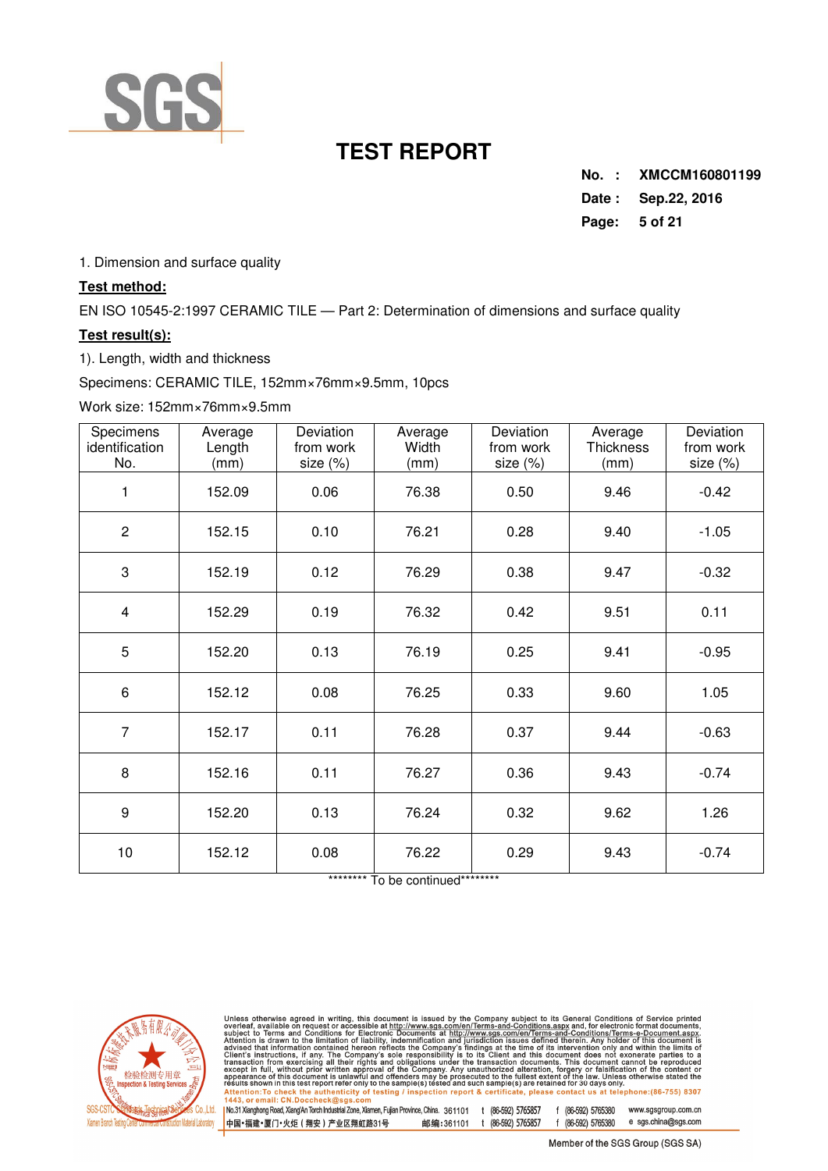

**No. : XMCCM160801199 Date : Sep.22, 2016 Page: 5 of 21** 

1. Dimension and surface quality

### **Test method:**

EN ISO 10545-2:1997 CERAMIC TILE — Part 2: Determination of dimensions and surface quality

### **Test result(s):**

1). Length, width and thickness

Specimens: CERAMIC TILE, 152mm×76mm×9.5mm, 10pcs

#### Work size: 152mm×76mm×9.5mm

| Specimens<br>identification<br>No. | Average<br>Length<br>(mm) | Deviation<br>from work<br>size (%) | Average<br>Width<br>(mm) | Deviation<br>from work<br>size (%) | Average<br><b>Thickness</b><br>(mm) | Deviation<br>from work<br>size (%) |
|------------------------------------|---------------------------|------------------------------------|--------------------------|------------------------------------|-------------------------------------|------------------------------------|
| 1                                  | 152.09                    | 0.06                               | 76.38                    | 0.50                               | 9.46                                | $-0.42$                            |
| $\overline{c}$                     | 152.15                    | 0.10                               | 76.21                    | 0.28                               | 9.40                                | $-1.05$                            |
| 3                                  | 152.19                    | 0.12                               | 76.29                    | 0.38                               | 9.47                                | $-0.32$                            |
| 4                                  | 152.29                    | 0.19                               | 76.32                    | 0.42                               | 9.51                                | 0.11                               |
| 5                                  | 152.20                    | 0.13                               | 76.19                    | 0.25                               | 9.41                                | $-0.95$                            |
| $\,6$                              | 152.12                    | 0.08                               | 76.25                    | 0.33                               | 9.60                                | 1.05                               |
| $\overline{7}$                     | 152.17                    | 0.11                               | 76.28                    | 0.37                               | 9.44                                | $-0.63$                            |
| 8                                  | 152.16                    | 0.11                               | 76.27                    | 0.36                               | 9.43                                | $-0.74$                            |
| 9                                  | 152.20                    | 0.13                               | 76.24                    | 0.32                               | 9.62                                | 1.26                               |
| 10                                 | 152.12                    | 0.08                               | 76.22                    | 0.29                               | 9.43                                | $-0.74$                            |

\*\*\*\*\*\*\*\*\* To be continued\*\*\*\*\*\*\*\*\*



Unless otherwise agreed in writing, this document is issued by the Company subject to its General Conditions of Service printed<br>overleaf, available on request or accessible at http://www.sgs.com/en/Terms-and-Conditions.as

1 No.31 Xianghong Road, XiangAn Torch Industrial Zone, Xiamen, Fujian Province, China. 361101 t (86-592) 5765857 f (86-592) 5765380 www.sgsgroup.com.cn<br>|中国+福建+厦门+火炬(翔安)产业区翔虹路31号 邮编:361101 t (86-592) 5765857 f (86-592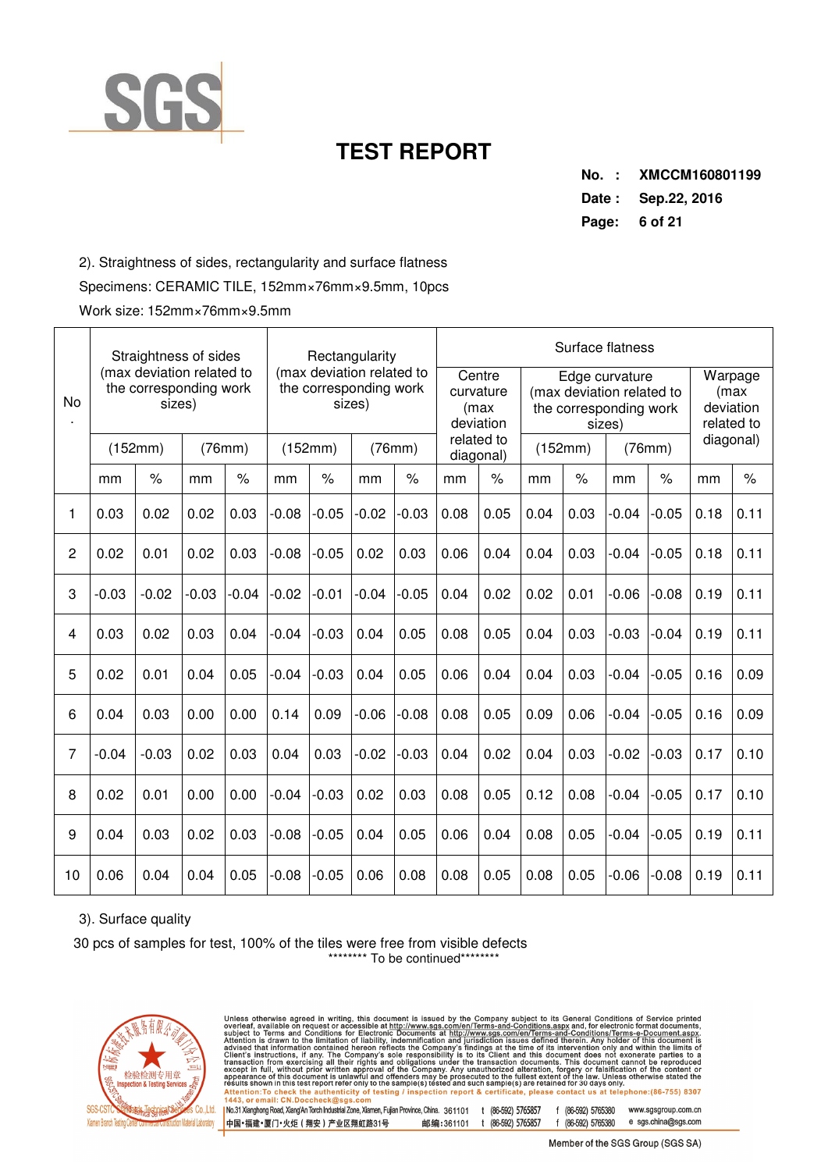

**No. : XMCCM160801199 Date : Sep.22, 2016 Page: 6 of 21** 

2). Straightness of sides, rectangularity and surface flatness

Specimens: CERAMIC TILE, 152mm×76mm×9.5mm, 10pcs

Work size: 152mm×76mm×9.5mm

|                | Straightness of sides<br>(max deviation related to |         |         |         |         | Rectangularity                                                |         |         |      | Surface flatness                                       |         |                                                                                 |         |         |                                             |      |
|----------------|----------------------------------------------------|---------|---------|---------|---------|---------------------------------------------------------------|---------|---------|------|--------------------------------------------------------|---------|---------------------------------------------------------------------------------|---------|---------|---------------------------------------------|------|
| No             | the corresponding work<br>sizes)                   |         |         |         |         | (max deviation related to<br>the corresponding work<br>sizes) |         |         |      | Centre<br>curvature<br>(max<br>deviation<br>related to |         | Edge curvature<br>(max deviation related to<br>the corresponding work<br>sizes) |         |         | Warpage<br>(max)<br>deviation<br>related to |      |
|                |                                                    | (152mm) |         | (76mm)  |         | (152mm)                                                       |         | (76mm)  |      | diagonal)                                              | (152mm) |                                                                                 | (76mm)  |         | diagonal)                                   |      |
|                | mm                                                 | $\%$    | mm      | $\%$    | mm      | $\frac{1}{6}$                                                 | mm      | $\%$    | mm   | $\%$                                                   | mm      | $\%$                                                                            | mm      | $\%$    | mm                                          | $\%$ |
| 1              | 0.03                                               | 0.02    | 0.02    | 0.03    | $-0.08$ | $-0.05$                                                       | $-0.02$ | $-0.03$ | 0.08 | 0.05                                                   | 0.04    | 0.03                                                                            | $-0.04$ | $-0.05$ | 0.18                                        | 0.11 |
| 2              | 0.02                                               | 0.01    | 0.02    | 0.03    | $-0.08$ | $-0.05$                                                       | 0.02    | 0.03    | 0.06 | 0.04                                                   | 0.04    | 0.03                                                                            | $-0.04$ | $-0.05$ | 0.18                                        | 0.11 |
| 3              | $-0.03$                                            | $-0.02$ | $-0.03$ | $-0.04$ | $-0.02$ | $-0.01$                                                       | $-0.04$ | $-0.05$ | 0.04 | 0.02                                                   | 0.02    | 0.01                                                                            | $-0.06$ | $-0.08$ | 0.19                                        | 0.11 |
| 4              | 0.03                                               | 0.02    | 0.03    | 0.04    | $-0.04$ | $-0.03$                                                       | 0.04    | 0.05    | 0.08 | 0.05                                                   | 0.04    | 0.03                                                                            | $-0.03$ | $-0.04$ | 0.19                                        | 0.11 |
| 5              | 0.02                                               | 0.01    | 0.04    | 0.05    | $-0.04$ | $-0.03$                                                       | 0.04    | 0.05    | 0.06 | 0.04                                                   | 0.04    | 0.03                                                                            | $-0.04$ | $-0.05$ | 0.16                                        | 0.09 |
| 6              | 0.04                                               | 0.03    | 0.00    | 0.00    | 0.14    | 0.09                                                          | $-0.06$ | $-0.08$ | 0.08 | 0.05                                                   | 0.09    | 0.06                                                                            | $-0.04$ | $-0.05$ | 0.16                                        | 0.09 |
| $\overline{7}$ | $-0.04$                                            | $-0.03$ | 0.02    | 0.03    | 0.04    | 0.03                                                          | $-0.02$ | $-0.03$ | 0.04 | 0.02                                                   | 0.04    | 0.03                                                                            | $-0.02$ | $-0.03$ | 0.17                                        | 0.10 |
| 8              | 0.02                                               | 0.01    | 0.00    | 0.00    | $-0.04$ | $-0.03$                                                       | 0.02    | 0.03    | 0.08 | 0.05                                                   | 0.12    | 0.08                                                                            | $-0.04$ | $-0.05$ | 0.17                                        | 0.10 |
| 9              | 0.04                                               | 0.03    | 0.02    | 0.03    | $-0.08$ | $-0.05$                                                       | 0.04    | 0.05    | 0.06 | 0.04                                                   | 0.08    | 0.05                                                                            | $-0.04$ | $-0.05$ | 0.19                                        | 0.11 |
| 10             | 0.06                                               | 0.04    | 0.04    | 0.05    | $-0.08$ | $-0.05$                                                       | 0.06    | 0.08    | 0.08 | 0.05                                                   | 0.08    | 0.05                                                                            | $-0.06$ | $-0.08$ | 0.19                                        | 0.11 |

## 3). Surface quality

30 pcs of samples for test, 100% of the tiles were free from visible defects \*\*\*\*\*\*\*\*\* To be continued\*\*\*\*\*\*\*\*\*



Unless otherwise agreed in writing, this document is issued by the Company subject to its General Conditions of Service printed<br>overleaf, available on request or accessible at http://www.sgs.com/en/Terms-and-Conditions.as | No.31 Xianghong Road, Xiang'An Torch Industrial Zone, Xiamen, Fujian Province, China. 361101 t (86-592) 5765857<br>|中国+福建+厦门+火炬(翔安)产业区翔虹路31号 - 邮编:361101 t (86-592) 5765857 f (86-592) 5765380 www.sgsgroup.com.cn e sgs.china@sgs.com f (86-592) 5765380

Member of the SGS Group (SGS SA)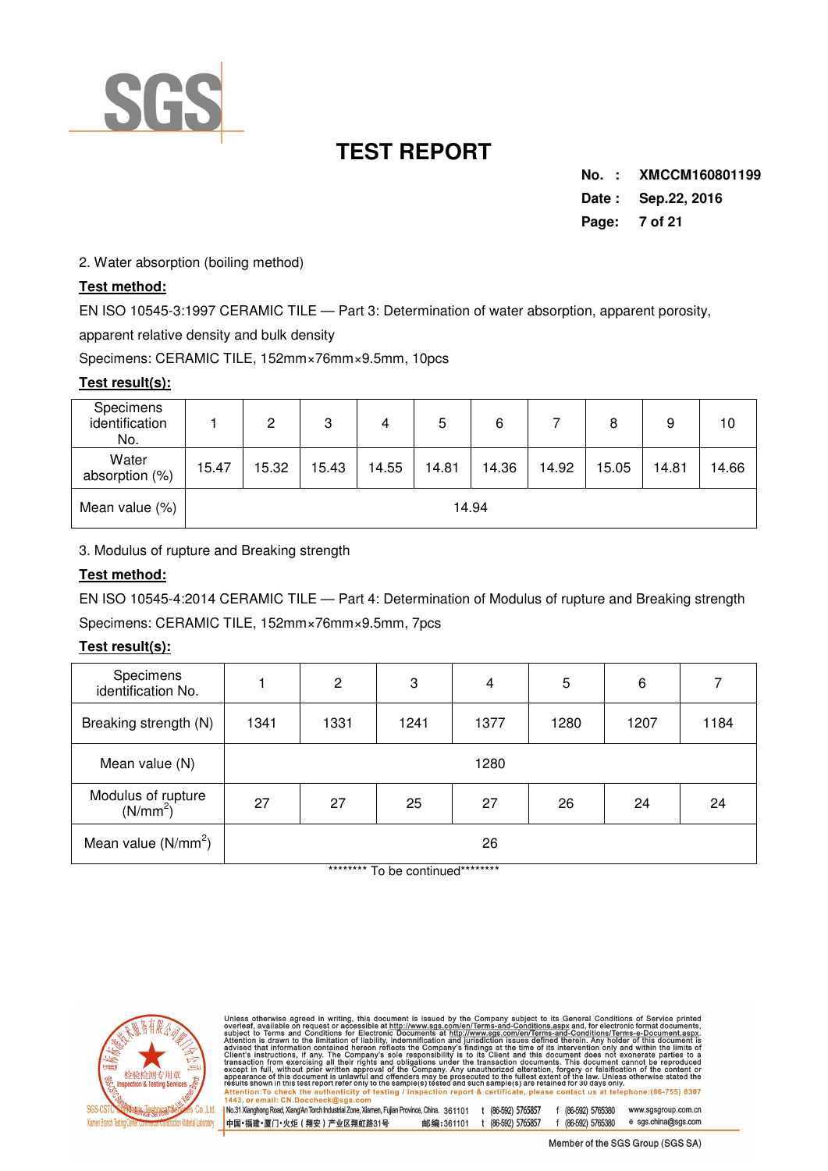

**No. : XMCCM160801199 Date : Sep.22, 2016 Page: 7 of 21** 

2. Water absorption (boiling method)

## **Test method:**

EN ISO 10545-3:1997 CERAMIC TILE — Part 3: Determination of water absorption, apparent porosity,

apparent relative density and bulk density

Specimens: CERAMIC TILE, 152mm×76mm×9.5mm, 10pcs

### **Test result(s):**

| Specimens<br>identification<br>No. |       | 2     | 3     | 4     | 5     | 6     |       | 8     | 9     | 10    |
|------------------------------------|-------|-------|-------|-------|-------|-------|-------|-------|-------|-------|
| Water<br>absorption (%)            | 15.47 | 15.32 | 15.43 | 14.55 | 14.81 | 14.36 | 14.92 | 15.05 | 14.81 | 14.66 |
| Mean value (%)                     |       |       |       |       |       | 14.94 |       |       |       |       |

3. Modulus of rupture and Breaking strength

## **Test method:**

EN ISO 10545-4:2014 CERAMIC TILE — Part 4: Determination of Modulus of rupture and Breaking strength Specimens: CERAMIC TILE, 152mm×76mm×9.5mm, 7pcs

## **Test result(s):**

| Specimens<br>identification No.            |      | $\overline{2}$ | 3    | 4    | 5    | 6    |      |  |
|--------------------------------------------|------|----------------|------|------|------|------|------|--|
| Breaking strength (N)                      | 1341 | 1331           | 1241 | 1377 | 1280 | 1207 | 1184 |  |
| Mean value (N)                             |      | 1280           |      |      |      |      |      |  |
| Modulus of rupture<br>(N/mm <sup>2</sup> ) | 27   | 27             | 25   | 27   | 26   | 24   | 24   |  |
| Mean value $(N/mm2)$                       |      |                |      | 26   |      |      |      |  |

\*\*\*\*\*\*\*\*\* To be continued\*\*\*\*\*\*\*\*\*



Unless otherwise agreed in writing, this document is issued by the Company subject to its General Conditions of Service printed<br>overleaf, available on request or accessible at http://www.sgs.com/en/Terms-and-Conditions.as

| No.31 Xianghong Road, Xiang'An Torch Industrial Zone, Xiamen, Fujian Province, China. 361101 t (86-592) 5765857<br>|中国・福建・厦门・火炬(翔安)产业区翔虹路31号 - 邮编:361101 t (86-592) 5765857 f (86-592) 5765380 www.sgsgroup.com.cn e sgs.china@sgs.com f (86-592) 5765380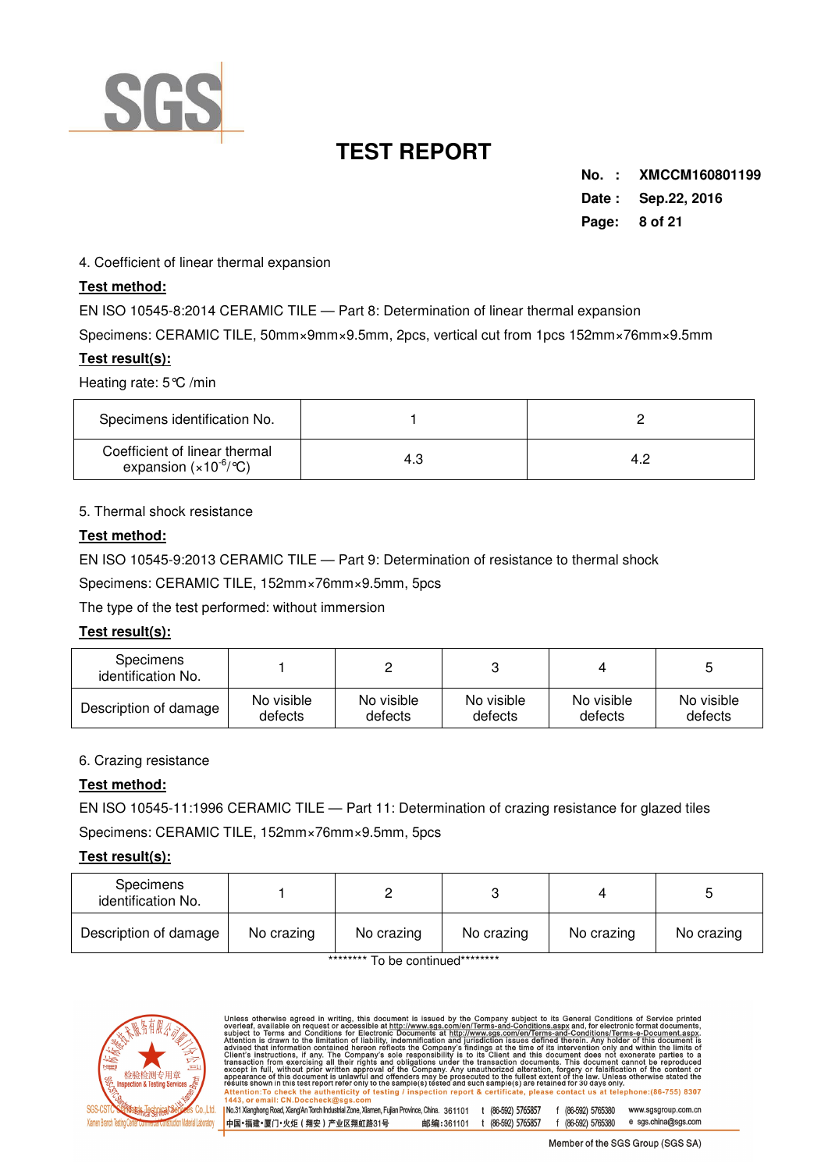

**No. : XMCCM160801199 Date : Sep.22, 2016 Page: 8 of 21** 

4. Coefficient of linear thermal expansion

## **Test method:**

EN ISO 10545-8:2014 CERAMIC TILE — Part 8: Determination of linear thermal expansion

Specimens: CERAMIC TILE, 50mm×9mm×9.5mm, 2pcs, vertical cut from 1pcs 152mm×76mm×9.5mm

### **Test result(s):**

Heating rate: 5°C /min

| Specimens identification No.                                               |  |
|----------------------------------------------------------------------------|--|
| Coefficient of linear thermal<br>expansion $(x10^{-6}/^{\circ}\mathrm{C})$ |  |

### 5. Thermal shock resistance

### **Test method:**

EN ISO 10545-9:2013 CERAMIC TILE — Part 9: Determination of resistance to thermal shock

Specimens: CERAMIC TILE, 152mm×76mm×9.5mm, 5pcs

The type of the test performed: without immersion

### **Test result(s):**

| <b>Specimens</b><br>identification No. |            |            |            |            |            |
|----------------------------------------|------------|------------|------------|------------|------------|
| Description of damage                  | No visible | No visible | No visible | No visible | No visible |
|                                        | defects    | defects    | defects    | defects    | defects    |

#### 6. Crazing resistance

## **Test method:**

EN ISO 10545-11:1996 CERAMIC TILE — Part 11: Determination of crazing resistance for glazed tiles

Specimens: CERAMIC TILE, 152mm×76mm×9.5mm, 5pcs

## **Test result(s):**

| Specimens<br>identification No. |            |            |            |            |            |
|---------------------------------|------------|------------|------------|------------|------------|
| Description of damage           | No crazing | No crazing | No crazing | No crazing | No crazing |

\*\*\*\*\*\*\*\*\* To be continued\*\*\*\*\*\*\*\*\*



Unless otherwise agreed in writing, this document is issued by the Company subject to its General Conditions of Service printed overleaf, available on request or accessible at http://www.sgs.com/en/Terms-and-Conditions.as No.31 Xianghong Road, Xiang'An Torch Industrial Zone, Xiamen, Fujian Province, China. 361101 t (86-592) 5765857 f (86-592) 5765380 www.sasaroup.com.cn e sgs.china@sgs.com 中国·福建·厦门·火炬 (翔安) 产业区翔虹路31号 邮编:361101 t (86-592) 5765857 f (86-592) 5765380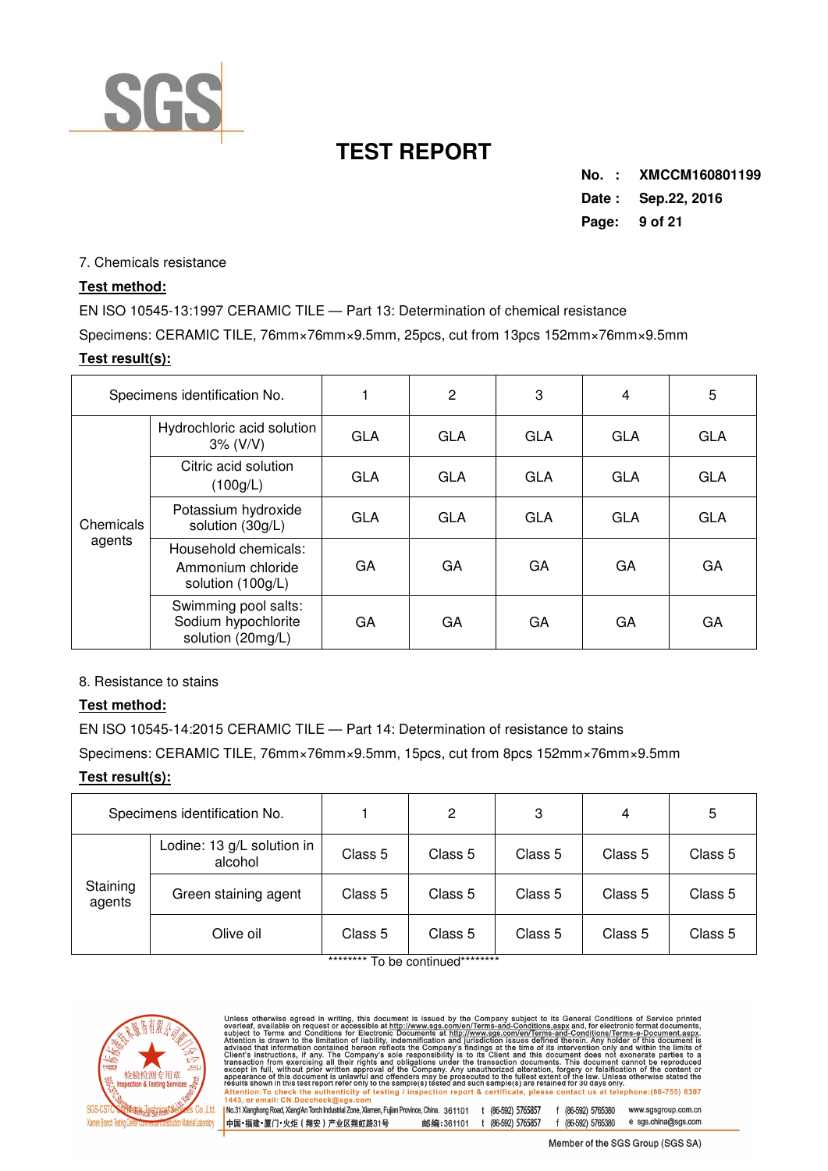

**No. : XMCCM160801199 Date : Sep.22, 2016** 

**Page: 9 of 21** 

7. Chemicals resistance

## **Test method:**

EN ISO 10545-13:1997 CERAMIC TILE — Part 13: Determination of chemical resistance

Specimens: CERAMIC TILE, 76mm×76mm×9.5mm, 25pcs, cut from 13pcs 152mm×76mm×9.5mm

## **Test result(s):**

| Specimens identification No. |                                                                  |            | $\overline{c}$ | 3          | 4          | 5          |
|------------------------------|------------------------------------------------------------------|------------|----------------|------------|------------|------------|
| Chemicals                    | Hydrochloric acid solution<br>3% (V/V)                           | <b>GLA</b> | <b>GLA</b>     | <b>GLA</b> | <b>GLA</b> | <b>GLA</b> |
|                              | Citric acid solution<br>(100g/L)                                 | <b>GLA</b> | <b>GLA</b>     | <b>GLA</b> | <b>GLA</b> | <b>GLA</b> |
|                              | Potassium hydroxide<br>solution (30g/L)                          | <b>GLA</b> | <b>GLA</b>     | <b>GLA</b> | <b>GLA</b> | <b>GLA</b> |
| agents                       | Household chemicals:<br>Ammonium chloride<br>solution (100g/L)   | GA         | GA             | GA         | GA         | GA         |
|                              | Swimming pool salts:<br>Sodium hypochlorite<br>solution (20mg/L) | GA         | <b>GA</b>      | GA         | GA         | GA         |

8. Resistance to stains

## **Test method:**

EN ISO 10545-14:2015 CERAMIC TILE — Part 14: Determination of resistance to stains

中国·福建·厦门·火炬 (翔安) 产业区翔虹路31号

Specimens: CERAMIC TILE, 76mm×76mm×9.5mm, 15pcs, cut from 8pcs 152mm×76mm×9.5mm

## **Test result(s):**

|                    | Specimens identification No.          |         | 2       | 3       | 4       | 5       |
|--------------------|---------------------------------------|---------|---------|---------|---------|---------|
|                    | Lodine: 13 g/L solution in<br>alcohol | Class 5 | Class 5 | Class 5 | Class 5 | Class 5 |
| Staining<br>agents | Green staining agent                  | Class 5 | Class 5 | Class 5 | Class 5 | Class 5 |
|                    | Olive oil                             | Class 5 | Class 5 | Class 5 | Class 5 | Class 5 |

To be continued



Unless otherwise agreed in writing, this document is issued by the Company subject to its General Conditions of Service printed<br>overleaf, available on request or accessible at http://www.sgs.com/en/Terms-and-Conditions.as No.31 Xianghong Road, Xiang'An Torch Industrial Zone, Xiamen, Fujian Province, China. 361101 t (86-592) 5765857 f (86-592) 5765380 www.sgsgroup.com.cn

e sgs.china@sgs.com 邮编:361101 t (86-592) 5765857 f (86-592) 5765380 Member of the SGS Group (SGS SA)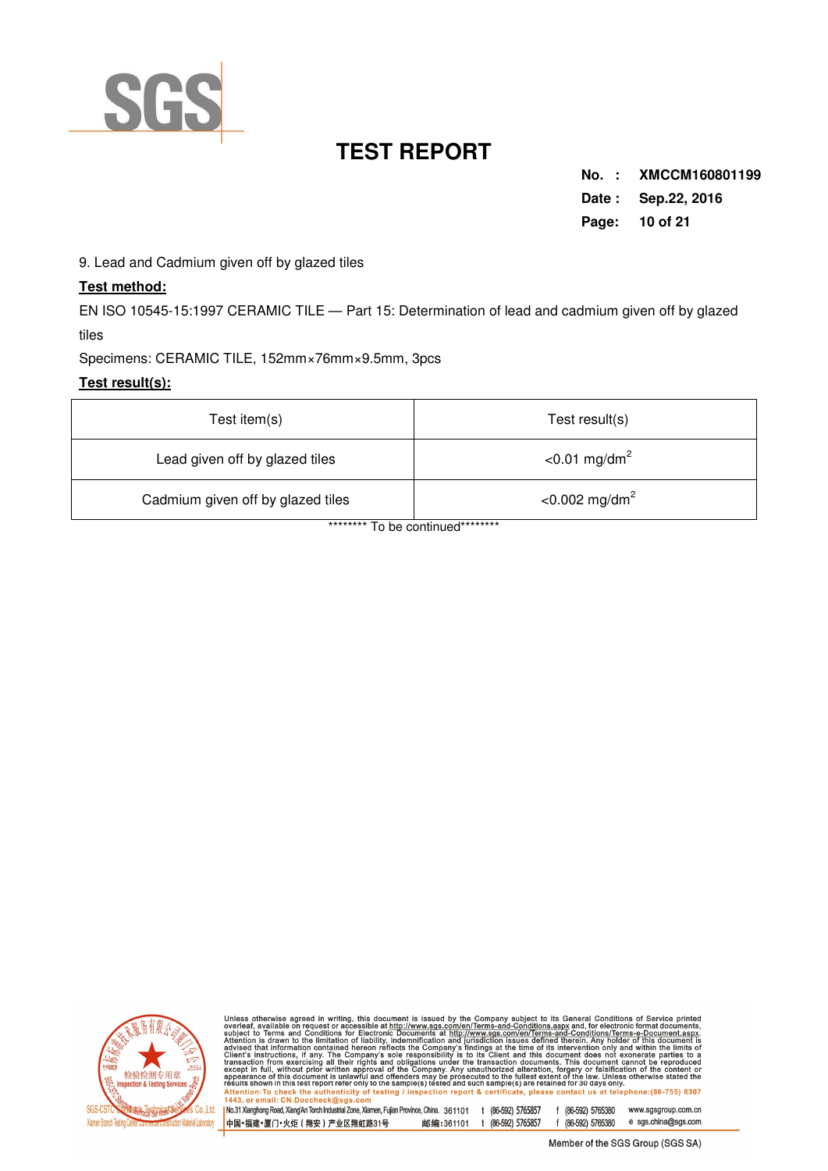

**No. : XMCCM160801199 Date : Sep.22, 2016 Page: 10 of 21** 

9. Lead and Cadmium given off by glazed tiles

## **Test method:**

EN ISO 10545-15:1997 CERAMIC TILE — Part 15: Determination of lead and cadmium given off by glazed tiles

Specimens: CERAMIC TILE, 152mm×76mm×9.5mm, 3pcs

### **Test result(s):**

| Test item $(s)$                   | Test result(s)               |
|-----------------------------------|------------------------------|
| Lead given off by glazed tiles    | $< 0.01$ mg/dm <sup>2</sup>  |
| Cadmium given off by glazed tiles | $<$ 0.002 mg/dm <sup>2</sup> |

\*\*\*\*\*\*\*\*\* To be continued\*\*\*\*\*\*\*\*\*



Unless otherwise agreed in writing, this document is issued by the Company subject to its General Conditions of Service printed<br>overleaf, available on request or accessible at http://www.sgs.com/en/Terms-and-Conditions.as

| No.31 Xianghong Road, Xiang An Torch Industrial Zone, Xiamen, Fujian Province, China. 361101 t (86-592) 5765857<br>|中国・福建・厦门・火炬(翔安)产业区翔虹路31号 邮编:361101 t (86-592) 5765857 f (86-592) 5765380 www.sgsgroup.com.cn e sgs.china@sgs.com f (86-592) 5765380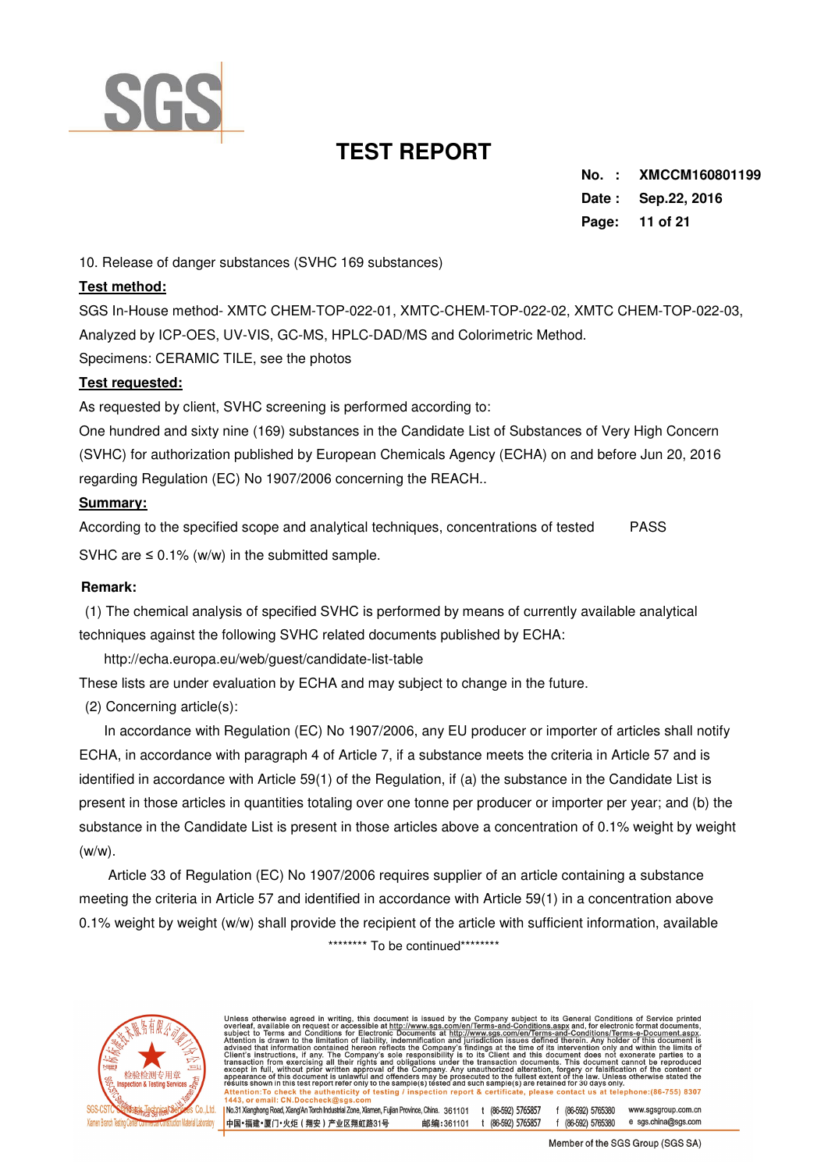

**No. : XMCCM160801199 Date : Sep.22, 2016 Page: 11 of 21** 

10. Release of danger substances (SVHC 169 substances)

### **Test method:**

SGS In-House method- XMTC CHEM-TOP-022-01, XMTC-CHEM-TOP-022-02, XMTC CHEM-TOP-022-03, Analyzed by ICP-OES, UV-VIS, GC-MS, HPLC-DAD/MS and Colorimetric Method. Specimens: CERAMIC TILE, see the photos

### **Test requested:**

As requested by client, SVHC screening is performed according to:

One hundred and sixty nine (169) substances in the Candidate List of Substances of Very High Concern (SVHC) for authorization published by European Chemicals Agency (ECHA) on and before Jun 20, 2016 regarding Regulation (EC) No 1907/2006 concerning the REACH..

### **Summary:**

According to the specified scope and analytical techniques, concentrations of tested PASS SVHC are  $\leq$  0.1% (w/w) in the submitted sample.

#### **Remark:**

 (1) The chemical analysis of specified SVHC is performed by means of currently available analytical techniques against the following SVHC related documents published by ECHA:

http://echa.europa.eu/web/guest/candidate-list-table

These lists are under evaluation by ECHA and may subject to change in the future.

(2) Concerning article(s):

 In accordance with Regulation (EC) No 1907/2006, any EU producer or importer of articles shall notify ECHA, in accordance with paragraph 4 of Article 7, if a substance meets the criteria in Article 57 and is identified in accordance with Article 59(1) of the Regulation, if (a) the substance in the Candidate List is present in those articles in quantities totaling over one tonne per producer or importer per year; and (b) the substance in the Candidate List is present in those articles above a concentration of 0.1% weight by weight (w/w).

 Article 33 of Regulation (EC) No 1907/2006 requires supplier of an article containing a substance meeting the criteria in Article 57 and identified in accordance with Article 59(1) in a concentration above 0.1% weight by weight (w/w) shall provide the recipient of the article with sufficient information, available \*\*\*\*\*\*\*\*\* To be continued\*\*\*\*\*\*\*\*\*



Unless otherwise agreed in writing, this document is issued by the Company subject to its General Conditions of Service printed<br>overleaf, available on request or accessible at http://www.sg.s.com/en/Terms-and-Conditions/T ction report & certificate, please contact us at telephone:(86-755) Attention: To check the authenticity of testing / insp<br>1443 or email: CN Doccheck@sgs.com No.31 Xianghong Road, Xiang'An Torch Industrial Zone, Xiamen, Fujian Province, China. 361101 t (86-592) 5765857 f (86-592) 5765380 www.sasaroup.com.cn e sgs.china@sgs.com 中国·福建·厦门·火炬 (翔安) 产业区翔虹路31号 邮编:361101 t (86-592) 5765857 f (86-592) 5765380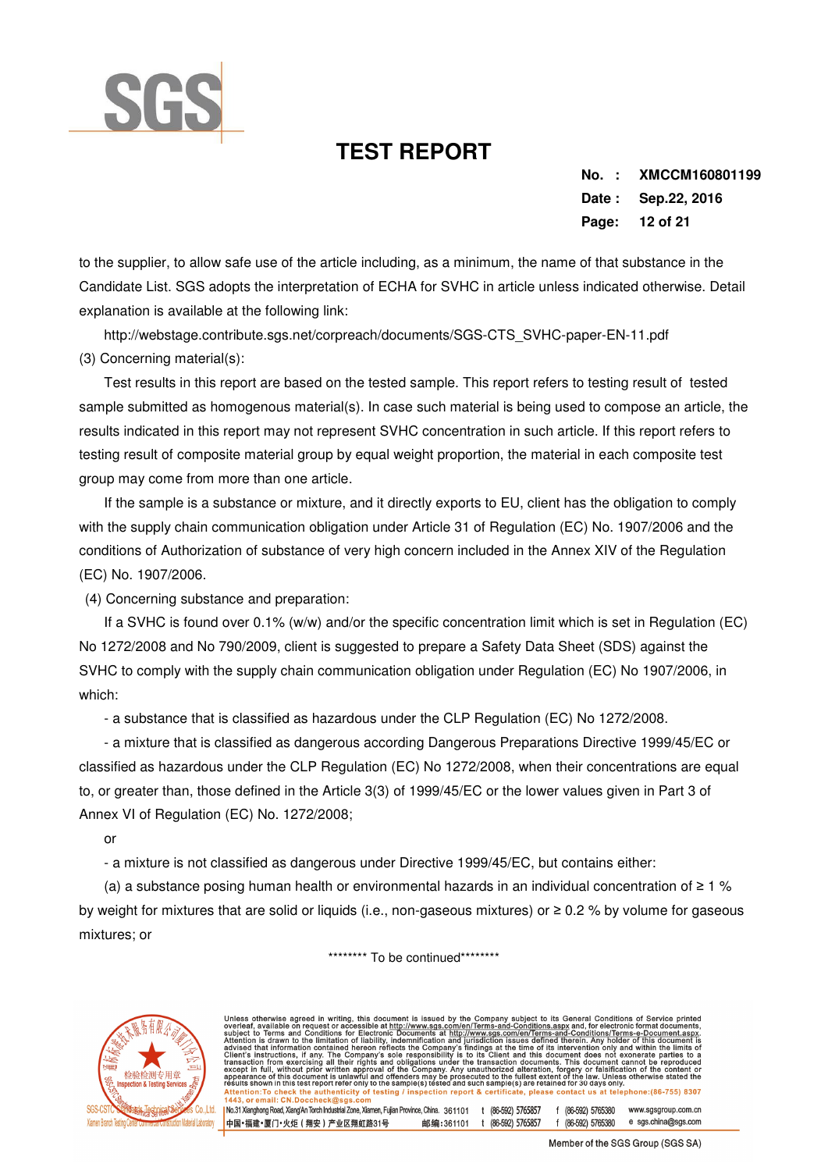

**No. : XMCCM160801199 Date : Sep.22, 2016 Page: 12 of 21** 

to the supplier, to allow safe use of the article including, as a minimum, the name of that substance in the Candidate List. SGS adopts the interpretation of ECHA for SVHC in article unless indicated otherwise. Detail explanation is available at the following link:

 http://webstage.contribute.sgs.net/corpreach/documents/SGS-CTS\_SVHC-paper-EN-11.pdf (3) Concerning material(s):

 Test results in this report are based on the tested sample. This report refers to testing result of tested sample submitted as homogenous material(s). In case such material is being used to compose an article, the results indicated in this report may not represent SVHC concentration in such article. If this report refers to testing result of composite material group by equal weight proportion, the material in each composite test group may come from more than one article.

 If the sample is a substance or mixture, and it directly exports to EU, client has the obligation to comply with the supply chain communication obligation under Article 31 of Regulation (EC) No. 1907/2006 and the conditions of Authorization of substance of very high concern included in the Annex XIV of the Regulation (EC) No. 1907/2006.

(4) Concerning substance and preparation:

 If a SVHC is found over 0.1% (w/w) and/or the specific concentration limit which is set in Regulation (EC) No 1272/2008 and No 790/2009, client is suggested to prepare a Safety Data Sheet (SDS) against the SVHC to comply with the supply chain communication obligation under Regulation (EC) No 1907/2006, in which:

- a substance that is classified as hazardous under the CLP Regulation (EC) No 1272/2008.

 - a mixture that is classified as dangerous according Dangerous Preparations Directive 1999/45/EC or classified as hazardous under the CLP Regulation (EC) No 1272/2008, when their concentrations are equal to, or greater than, those defined in the Article 3(3) of 1999/45/EC or the lower values given in Part 3 of Annex VI of Regulation (EC) No. 1272/2008;

or

- a mixture is not classified as dangerous under Directive 1999/45/EC, but contains either:

 (a) a substance posing human health or environmental hazards in an individual concentration of ≥ 1 % by weight for mixtures that are solid or liquids (i.e., non-gaseous mixtures) or ≥ 0.2 % by volume for gaseous mixtures; or

\*\*\*\*\*\*\*\*\* To be continued\*\*\*\*\*\*\*\*\*



Unless otherwise agreed in writing, this document is issued by the Company subject to its General Conditions of Service printed<br>overleaf, available on request or accessible at http://www.sg.s.com/en/Terms-and-Conditions/T Attention: To check the authenticity of testing / insp<br>1443 or email: CN Doccheck@sgs.com ction report & certificate, please contact us at telephone:(86-755) I No.31 Xianghong Road, Xiang'An Torch Industrial Zone, Xiamen, Fujian Province, China. 361101 t (86-592) 5765857 f (86-592) 5765380 www.sasaroup.com.cn e sgs.china@sgs.com 中国·福建·厦门·火炬 (翔安) 产业区翔虹路31号 邮编:361101 t (86-592) 5765857 f (86-592) 5765380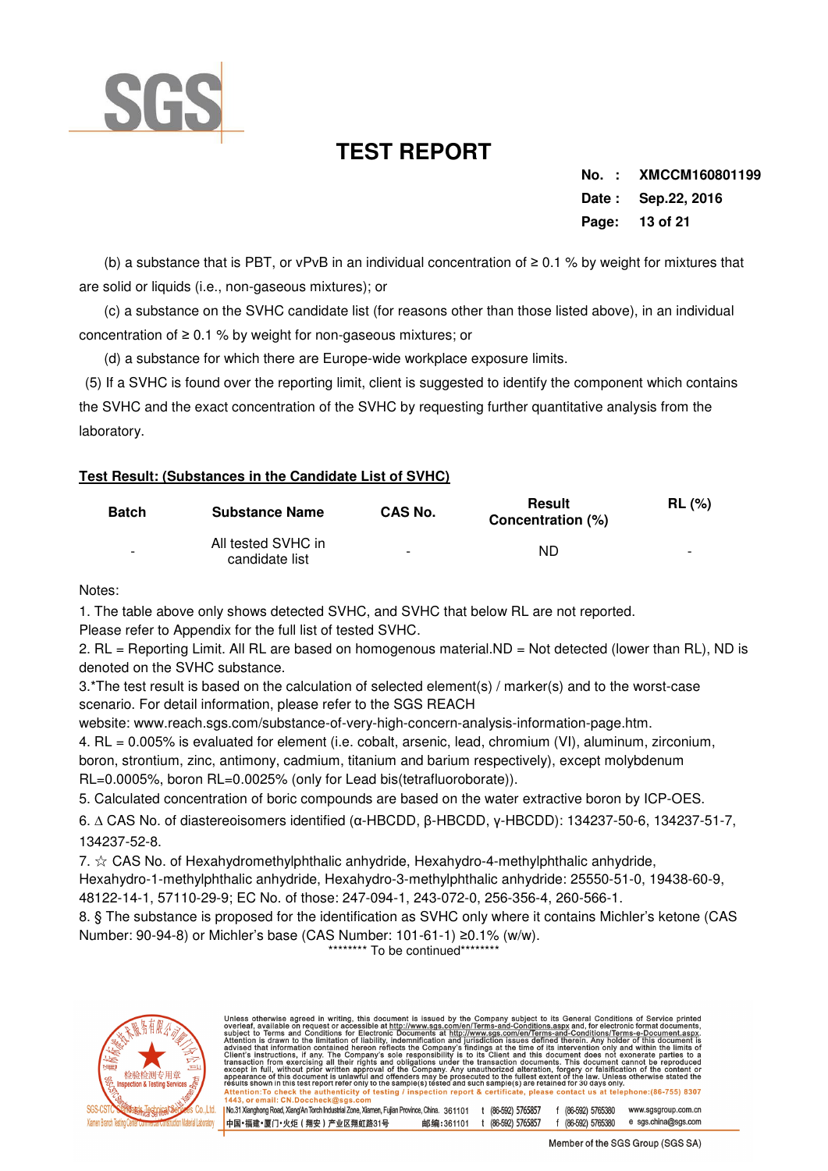

**No. : XMCCM160801199 Date : Sep.22, 2016 Page: 13 of 21** 

 (b) a substance that is PBT, or vPvB in an individual concentration of ≥ 0.1 % by weight for mixtures that are solid or liquids (i.e., non-gaseous mixtures); or

 (c) a substance on the SVHC candidate list (for reasons other than those listed above), in an individual concentration of ≥ 0.1 % by weight for non-gaseous mixtures; or

(d) a substance for which there are Europe-wide workplace exposure limits.

 (5) If a SVHC is found over the reporting limit, client is suggested to identify the component which contains the SVHC and the exact concentration of the SVHC by requesting further quantitative analysis from the laboratory.

## **Test Result: (Substances in the Candidate List of SVHC)**

| <b>Batch</b>             | <b>Substance Name</b>                | CAS No. | <b>Result</b><br>Concentration (%) | <b>RL</b> (%)            |
|--------------------------|--------------------------------------|---------|------------------------------------|--------------------------|
| $\overline{\phantom{a}}$ | All tested SVHC in<br>candidate list | -       | ND                                 | $\overline{\phantom{a}}$ |

Notes:

1. The table above only shows detected SVHC, and SVHC that below RL are not reported.

Please refer to Appendix for the full list of tested SVHC.

2. RL = Reporting Limit. All RL are based on homogenous material.ND = Not detected (lower than RL), ND is denoted on the SVHC substance.

3.\*The test result is based on the calculation of selected element(s) / marker(s) and to the worst-case scenario. For detail information, please refer to the SGS REACH

website: www.reach.sgs.com/substance-of-very-high-concern-analysis-information-page.htm.

4. RL = 0.005% is evaluated for element (i.e. cobalt, arsenic, lead, chromium (VI), aluminum, zirconium,

boron, strontium, zinc, antimony, cadmium, titanium and barium respectively), except molybdenum RL=0.0005%, boron RL=0.0025% (only for Lead bis(tetrafluoroborate)).

5. Calculated concentration of boric compounds are based on the water extractive boron by ICP-OES.

6. ∆ CAS No. of diastereoisomers identified (α-HBCDD, β-HBCDD, γ-HBCDD): 134237-50-6, 134237-51-7, 134237-52-8.

7.  $\hat{\varphi}$  CAS No. of Hexahydromethylphthalic anhydride, Hexahydro-4-methylphthalic anhydride,

Hexahydro-1-methylphthalic anhydride, Hexahydro-3-methylphthalic anhydride: 25550-51-0, 19438-60-9, 48122-14-1, 57110-29-9; EC No. of those: 247-094-1, 243-072-0, 256-356-4, 260-566-1.

8. § The substance is proposed for the identification as SVHC only where it contains Michler's ketone (CAS Number: 90-94-8) or Michler's base (CAS Number: 101-61-1) ≥0.1% (w/w).

\*\*\*\*\*\*\* To be continued\*\*\*



|      | Unless otherwise agreed in writing, this document is issued by the Company subject to its General Conditions of Service printed<br>overleaf, available on request or accessible at http://www.sgs.com/en/Terms-and-Conditions.aspx and, for electronic format documents,<br>subject to Terms and Conditions for Electronic Documents at http://www.sgs.com/en/Terms-and-Conditions/Terms-e-Document.aspx.<br>Attention is drawn to the limitation of liability, indemnification and jurisdiction issues defined therein. Any holder of this document is<br>advised that information contained hereon reflects the Company's findings at the time of its intervention only and within the limits of<br>Client's instructions, if any. The Company's sole responsibility is to its Client and this document does not exonerate parties to a<br>transaction from exercising all their rights and obligations under the transaction documents. This document cannot be reproduced<br>except in full, without prior written approval of the Company. Any unauthorized alteration, forgery or falsification of the content or<br>appearance of this document is unlawful and offenders may be prosecuted to the fullest extent of the law. Unless otherwise stated the<br>results shown in this test report refer only to the sample(s) tested and such sample(s) are retained for 30 days only.<br>Attention:To check the authenticity of testing / inspection report & certificate, please contact us at telephone:(86-755) 8307<br>1443, or email: CN.Doccheck@sgs.com |
|------|---------------------------------------------------------------------------------------------------------------------------------------------------------------------------------------------------------------------------------------------------------------------------------------------------------------------------------------------------------------------------------------------------------------------------------------------------------------------------------------------------------------------------------------------------------------------------------------------------------------------------------------------------------------------------------------------------------------------------------------------------------------------------------------------------------------------------------------------------------------------------------------------------------------------------------------------------------------------------------------------------------------------------------------------------------------------------------------------------------------------------------------------------------------------------------------------------------------------------------------------------------------------------------------------------------------------------------------------------------------------------------------------------------------------------------------------------------------------------------------------------------------------------------------------------------------------|
|      |                                                                                                                                                                                                                                                                                                                                                                                                                                                                                                                                                                                                                                                                                                                                                                                                                                                                                                                                                                                                                                                                                                                                                                                                                                                                                                                                                                                                                                                                                                                                                                     |
| Ltd. | I No.31 Xianghong Road, Xiang'An Torch Industrial Zone, Xiamen, Fujian Province, China. 361101<br>(86-592) 5765857<br>(86-592) 5765380<br>www.sgsgroup.com.cn                                                                                                                                                                                                                                                                                                                                                                                                                                                                                                                                                                                                                                                                                                                                                                                                                                                                                                                                                                                                                                                                                                                                                                                                                                                                                                                                                                                                       |
|      | e sgs.china@sgs.com<br>(86-592) 5765857<br>(86-592) 5765380<br>中国•福建•厦门•火炬(翔安)产业区翔帄路31号<br>邮编:361101                                                                                                                                                                                                                                                                                                                                                                                                                                                                                                                                                                                                                                                                                                                                                                                                                                                                                                                                                                                                                                                                                                                                                                                                                                                                                                                                                                                                                                                                |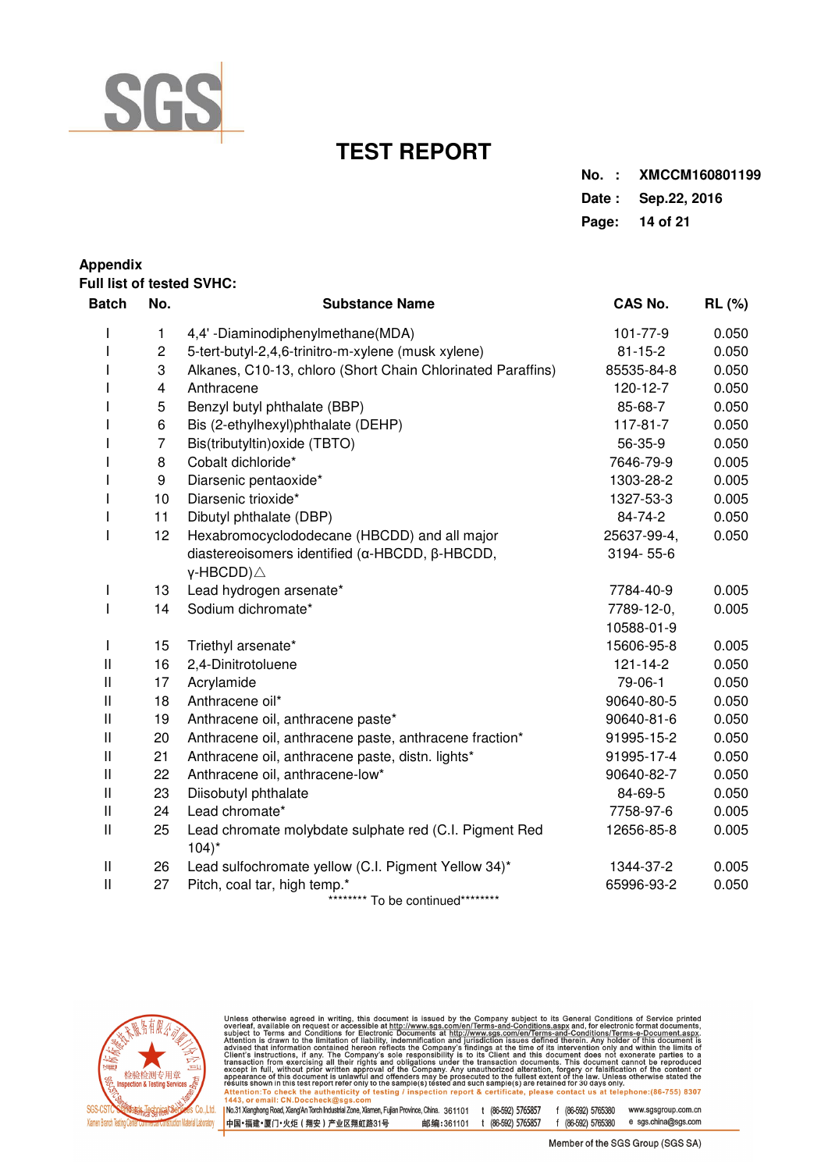

| No.: XMCCM160801199 |
|---------------------|
| Date: Sep.22, 2016  |
| Page: 14 of 21      |

## **Appendix Full list of tested SVHC: Batch No. Substance Name CAS No. RL (%)**  I 1 4,4' -Diaminodiphenylmethane(MDA) 101-77-9 0.050 I 2 5-tert-butyl-2,4,6-trinitro-m-xylene (musk xylene) 81-15-2 0.050 I 3 Alkanes, C10-13, chloro (Short Chain Chlorinated Paraffins) 85535-84-8 0.050 I 4 Anthracene 120-12-7 0.050 I 5 Benzyl butyl phthalate (BBP) 85-68-7 0.050 I 6 Bis (2-ethylhexyl)phthalate (DEHP) 117-81-7 0.050 I 7 Bis(tributyltin)oxide (TBTO) 56-35-9 0.050 I 8 Cobalt dichloride\* 7646-79-9 0.005 I 9 Diarsenic pentaoxide\* 1303-28-2 0.005 I 10 Diarsenic trioxide\* 1327-53-3 0.005 I 11 Dibutyl phthalate (DBP) 84-74-2 0.050 I 12 Hexabromocyclododecane (HBCDD) and all major 25637-99-4, 0.050 diastereoisomers identified (α-HBCDD, β-HBCDD, 3194-55-6 γ-HBCDD)△ I 13 Lead hydrogen arsenate\* 7784-40-9 0.005 I 14 Sodium dichromate\* 7789-12-0, 0.005 10588-01-9 I 15 Triethyl arsenate\* 15606-95-8 0.005 II 16 2,4-Dinitrotoluene 121-14-2 0.050 II 17 Acrylamide 79-06-1 0.050 II 18 Anthracene oil\* 90640-80-5 0.050 II 19 Anthracene oil, anthracene paste\* 1986 190640-81-6 0.050 II 20 Anthracene oil, anthracene paste, anthracene fraction\* 91995-15-2 0.050 II 21 Anthracene oil, anthracene paste, distn. lights\* 91995-17-4 0.050 II 22 Anthracene oil, anthracene-low\* 90640-82-7 0.050 II 23 Diisobutyl phthalate 84-69-5 0.050 II 24 Lead chromate\* 7758-97-6 0.005 II 25 Lead chromate molybdate sulphate red (C.I. Pigment Red 12656-85-8 0.005  $104$ <sup>\*</sup> II 26 Lead sulfochromate yellow (C.I. Pigment Yellow 34)\* 1344-37-2 0.005 II 27 Pitch, coal tar, high temp.\* 65996-93-2 0.050 \*\*\*\*\*\*\*\* To be continued\*\*\*\*\*\*\*\*\*



Unless otherwise agreed in writing, this document is issued by the Company subject to its General Conditions of Service printed<br>overleaf, available on request or accessible at http://www.sgs.com/en/Terms-and-Conditions.as No.31 Xianghong Road, Xiang'An Torch Industrial Zone, Xiamen, Fujian Province, China. 361101 t (86-592) 5765857 f (86-592) 5765380 www.sasaroup.com.cn

e sgs.china@sgs.com 中国·福建·厦门·火炬 (翔安) 产业区翔虹路31号 邮编:361101 t (86-592) 5765857 f (86-592) 5765380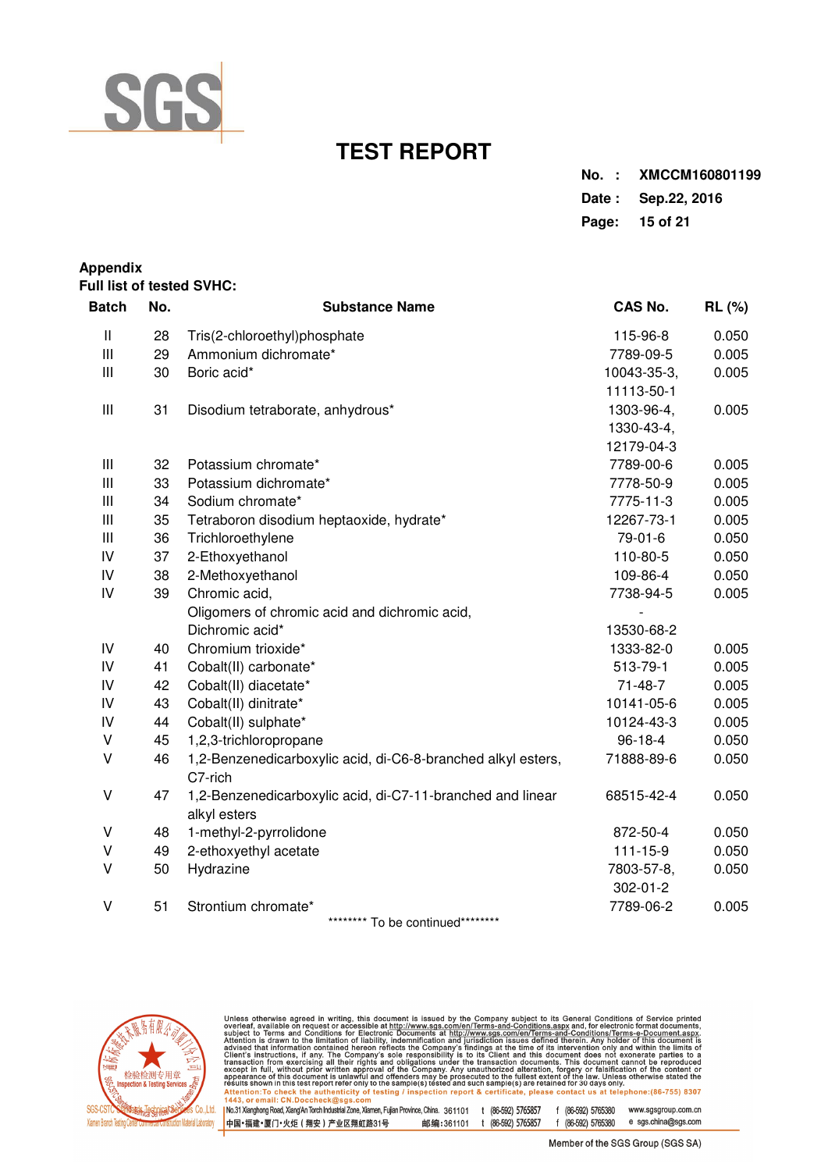

| No.: XMCCM160801199 |
|---------------------|
| Date: Sep.22, 2016  |
| Page: 15 of 21      |

| <b>Appendix</b> |     | Full list of tested SVHC:                                                  |                |               |
|-----------------|-----|----------------------------------------------------------------------------|----------------|---------------|
| <b>Batch</b>    | No. | <b>Substance Name</b>                                                      | <b>CAS No.</b> | <b>RL (%)</b> |
| $\mathbf{I}$    | 28  | Tris(2-chloroethyl)phosphate                                               | 115-96-8       | 0.050         |
| $\mathbf{III}$  | 29  | Ammonium dichromate*                                                       | 7789-09-5      | 0.005         |
| $\mathbf{III}$  | 30  | Boric acid*                                                                | 10043-35-3,    | 0.005         |
|                 |     |                                                                            | 11113-50-1     |               |
| $\mathbf{III}$  | 31  | Disodium tetraborate, anhydrous*                                           | 1303-96-4,     | 0.005         |
|                 |     |                                                                            | 1330-43-4,     |               |
|                 |     |                                                                            | 12179-04-3     |               |
| $\mathbf{III}$  | 32  | Potassium chromate*                                                        | 7789-00-6      | 0.005         |
| $\mathbf{III}$  | 33  | Potassium dichromate*                                                      | 7778-50-9      | 0.005         |
| $\mathbf{III}$  | 34  | Sodium chromate*                                                           | 7775-11-3      | 0.005         |
| $\mathbf{III}$  | 35  | Tetraboron disodium heptaoxide, hydrate*                                   | 12267-73-1     | 0.005         |
| $\mathbf{III}$  | 36  | Trichloroethylene                                                          | 79-01-6        | 0.050         |
| IV              | 37  | 2-Ethoxyethanol                                                            | 110-80-5       | 0.050         |
| IV              | 38  | 2-Methoxyethanol                                                           | 109-86-4       | 0.050         |
| IV              | 39  | Chromic acid,                                                              | 7738-94-5      | 0.005         |
|                 |     | Oligomers of chromic acid and dichromic acid,                              |                |               |
|                 |     | Dichromic acid*                                                            | 13530-68-2     |               |
| IV              | 40  | Chromium trioxide*                                                         | 1333-82-0      | 0.005         |
| IV              | 41  | Cobalt(II) carbonate*                                                      | 513-79-1       | 0.005         |
| IV              | 42  | Cobalt(II) diacetate*                                                      | $71 - 48 - 7$  | 0.005         |
| IV              | 43  | Cobalt(II) dinitrate*                                                      | 10141-05-6     | 0.005         |
| IV              | 44  | Cobalt(II) sulphate*                                                       | 10124-43-3     | 0.005         |
| V               | 45  | 1,2,3-trichloropropane                                                     | $96 - 18 - 4$  | 0.050         |
| V               | 46  | 1,2-Benzenedicarboxylic acid, di-C6-8-branched alkyl esters,<br>C7-rich    | 71888-89-6     | 0.050         |
| V               | 47  | 1,2-Benzenedicarboxylic acid, di-C7-11-branched and linear<br>alkyl esters | 68515-42-4     | 0.050         |
| V               | 48  | 1-methyl-2-pyrrolidone                                                     | 872-50-4       | 0.050         |
| V               | 49  | 2-ethoxyethyl acetate                                                      | $111 - 15 - 9$ | 0.050         |
| V               | 50  | Hydrazine                                                                  | 7803-57-8,     | 0.050         |
|                 |     |                                                                            | 302-01-2       |               |
| V               | 51  | Strontium chromate*                                                        | 7789-06-2      | 0.005         |

\*\*\*\*\*\*\*\*\* To be continued\*\*\*\*\*\*\*\*\*



Unless otherwise agreed in writing, this document is issued by the Company subject to its General Conditions of Service printed<br>overleaf, available on request or accessible at http://www.sgs.com/en/Terms-and-Conditions.as 1.443, or email: CN:Doccheck@sys.com<br>|No.31.Xianghong Road, Xiang'An Torch Industrial Zone, Xiamen, Fujian Province, China. 361101 t (86-592) 5765857 f (86-592) 5765380 www.sgsgroup.com.cn<br>|中国•福建•厦门•火炬(翔安)产业区翔虹路31号

Member of the SGS Group (SGS SA)

 $f (86-592) 5765380$  e sgs.china@sgs.com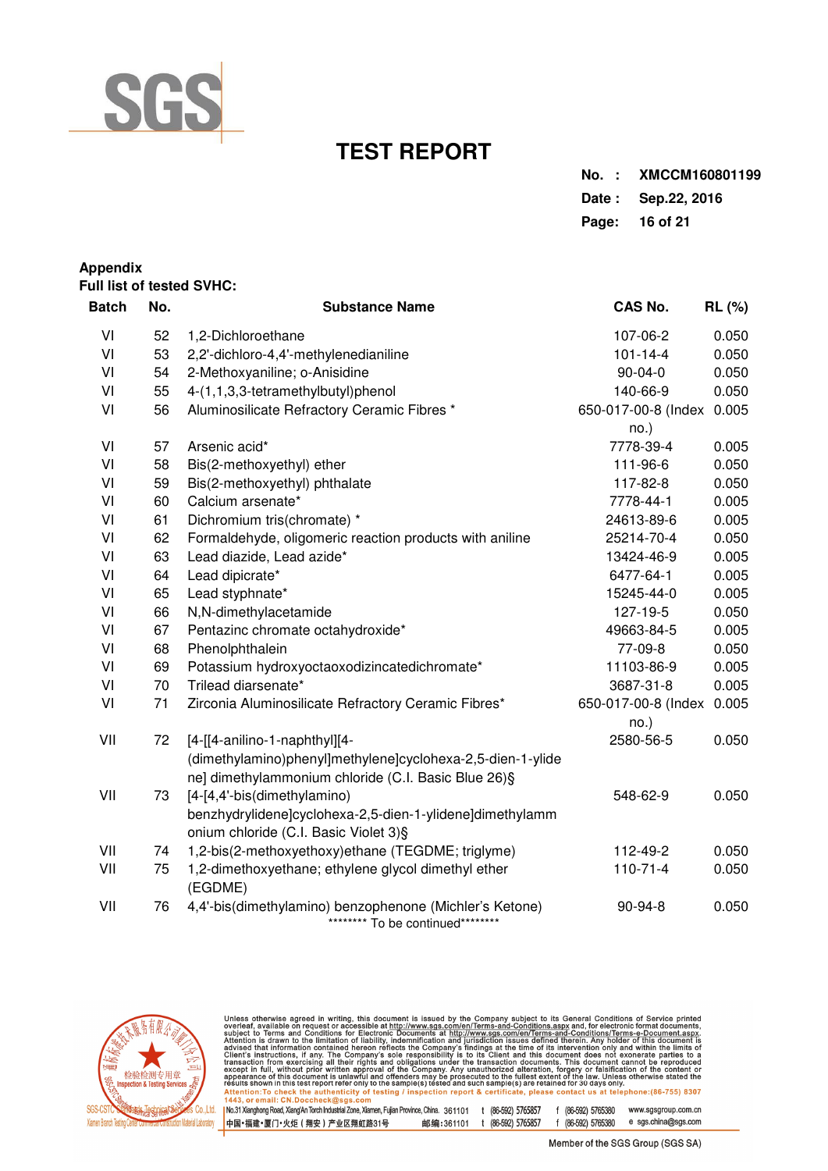

| No. : XMCCM160801199 |
|----------------------|
| Date: Sep.22, 2016   |
| Page: 16 of 21       |

## **Appendix Full list of tested SVHC:**

| <b>Batch</b> | No. | <b>Substance Name</b>                                                                       | CAS No.                   | <b>RL</b> (%) |
|--------------|-----|---------------------------------------------------------------------------------------------|---------------------------|---------------|
| VI           | 52  | 1,2-Dichloroethane                                                                          | 107-06-2                  | 0.050         |
| VI           | 53  | 2,2'-dichloro-4,4'-methylenedianiline                                                       | $101 - 14 - 4$            | 0.050         |
| VI           | 54  | 2-Methoxyaniline; o-Anisidine                                                               | $90 - 04 - 0$             | 0.050         |
| VI           | 55  | 4-(1,1,3,3-tetramethylbutyl)phenol                                                          | 140-66-9                  | 0.050         |
| VI           | 56  | Aluminosilicate Refractory Ceramic Fibres *                                                 | 650-017-00-8 (Index 0.005 |               |
|              |     |                                                                                             | no.)                      |               |
| VI           | 57  | Arsenic acid*                                                                               | 7778-39-4                 | 0.005         |
| VI           | 58  | Bis(2-methoxyethyl) ether                                                                   | 111-96-6                  | 0.050         |
| VI           | 59  | Bis(2-methoxyethyl) phthalate                                                               | 117-82-8                  | 0.050         |
| VI           | 60  | Calcium arsenate*                                                                           | 7778-44-1                 | 0.005         |
| VI           | 61  | Dichromium tris(chromate) *                                                                 | 24613-89-6                | 0.005         |
| VI           | 62  | Formaldehyde, oligomeric reaction products with aniline                                     | 25214-70-4                | 0.050         |
| VI           | 63  | Lead diazide, Lead azide*                                                                   | 13424-46-9                | 0.005         |
| VI           | 64  | Lead dipicrate*                                                                             | 6477-64-1                 | 0.005         |
| VI           | 65  | Lead styphnate*                                                                             | 15245-44-0                | 0.005         |
| VI           | 66  | N,N-dimethylacetamide                                                                       | 127-19-5                  | 0.050         |
| VI           | 67  | Pentazinc chromate octahydroxide*                                                           | 49663-84-5                | 0.005         |
| VI           | 68  | Phenolphthalein                                                                             | 77-09-8                   | 0.050         |
| VI           | 69  | Potassium hydroxyoctaoxodizincatedichromate*                                                | 11103-86-9                | 0.005         |
| VI           | 70  | Trilead diarsenate*                                                                         | 3687-31-8                 | 0.005         |
| VI           | 71  | Zirconia Aluminosilicate Refractory Ceramic Fibres*                                         | 650-017-00-8 (Index 0.005 |               |
|              |     |                                                                                             | no.)                      |               |
| VII          | 72  | [4-[[4-anilino-1-naphthyl][4-                                                               | 2580-56-5                 | 0.050         |
|              |     | (dimethylamino)phenyl]methylene]cyclohexa-2,5-dien-1-ylide                                  |                           |               |
|              |     | ne] dimethylammonium chloride (C.I. Basic Blue 26)§                                         |                           |               |
| VII          | 73  | [4-[4,4'-bis(dimethylamino)                                                                 | 548-62-9                  | 0.050         |
|              |     | benzhydrylidene]cyclohexa-2,5-dien-1-ylidene]dimethylamm                                    |                           |               |
|              |     | onium chloride (C.I. Basic Violet 3) §                                                      |                           |               |
| VII          | 74  | 1,2-bis(2-methoxyethoxy)ethane (TEGDME; triglyme)                                           | 112-49-2                  | 0.050         |
| VII          | 75  | 1,2-dimethoxyethane; ethylene glycol dimethyl ether<br>(EGDME)                              | $110 - 71 - 4$            | 0.050         |
| VII          | 76  | 4,4'-bis(dimethylamino) benzophenone (Michler's Ketone)<br>******** To be continued******** | 90-94-8                   | 0.050         |



Unless otherwise agreed in writing, this document is issued by the Company subject to its General Conditions of Service printed<br>overleaf, available on request or accessible at http://www.sgs.com/en/Terms-and-Conditions.as 「way, or email.com/socience.wayspay.com<br>| No.31 Xianghong Road, Xiang/An Torch Industrial Zone, Xiamen, Fujian Province, China. 361101 t (86-592) 5765857 f (86-592) 5765380 www.sgsgroup.com.cn<br>|中国•福建•厦门•火炬(翔安)产业区翔虹路31号 f (86-592) 5765380 e sgs.china@sgs.com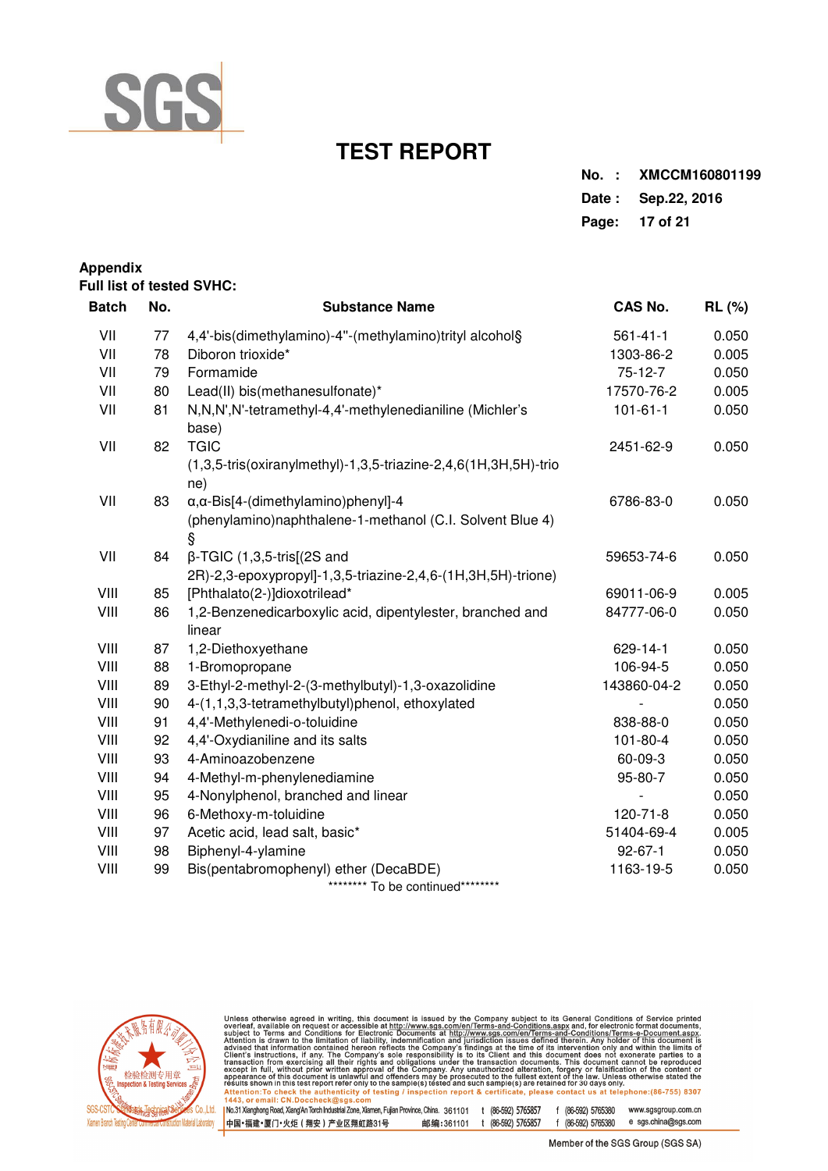

| No.: XMCCM160801199 |
|---------------------|
| Date: Sep. 22, 2016 |
| Page: 17 of 21      |

| Appendix     |     | Full list of tested SVHC:                                                  |                |               |
|--------------|-----|----------------------------------------------------------------------------|----------------|---------------|
| <b>Batch</b> | No. | <b>Substance Name</b>                                                      | <b>CAS No.</b> | <b>RL</b> (%) |
| VII          | 77  | 4,4'-bis(dimethylamino)-4"-(methylamino)trityl alcohol§                    | $561 - 41 - 1$ | 0.050         |
| VII          | 78  | Diboron trioxide*                                                          | 1303-86-2      | 0.005         |
| VII          | 79  | Formamide                                                                  | 75-12-7        | 0.050         |
| VII          | 80  | Lead(II) bis(methanesulfonate)*                                            | 17570-76-2     | 0.005         |
| VII          | 81  | N,N,N',N'-tetramethyl-4,4'-methylenedianiline (Michler's<br>base)          | $101 - 61 - 1$ | 0.050         |
| VII          | 82  | <b>TGIC</b>                                                                | 2451-62-9      | 0.050         |
|              |     | (1,3,5-tris(oxiranylmethyl)-1,3,5-triazine-2,4,6(1H,3H,5H)-trio<br>ne)     |                |               |
| VII          | 83  | $\alpha$ , $\alpha$ -Bis[4-(dimethylamino)phenyl]-4                        | 6786-83-0      | 0.050         |
|              |     | (phenylamino)naphthalene-1-methanol (C.I. Solvent Blue 4)<br>Ŝ             |                |               |
| VII          | 84  | $\beta$ -TGIC (1,3,5-tris[(2S and                                          | 59653-74-6     | 0.050         |
|              |     | 2R)-2,3-epoxypropyl]-1,3,5-triazine-2,4,6-(1H,3H,5H)-trione)               |                |               |
| VIII         | 85  | [Phthalato(2-)]dioxotrilead*                                               | 69011-06-9     | 0.005         |
| VIII         | 86  | 1,2-Benzenedicarboxylic acid, dipentylester, branched and<br>linear        | 84777-06-0     | 0.050         |
| VIII         | 87  | 1,2-Diethoxyethane                                                         | 629-14-1       | 0.050         |
| VIII         | 88  | 1-Bromopropane                                                             | 106-94-5       | 0.050         |
| VIII         | 89  | 3-Ethyl-2-methyl-2-(3-methylbutyl)-1,3-oxazolidine                         | 143860-04-2    | 0.050         |
| VIII         | 90  | 4-(1,1,3,3-tetramethylbutyl)phenol, ethoxylated                            |                | 0.050         |
| VIII         | 91  | 4,4'-Methylenedi-o-toluidine                                               | 838-88-0       | 0.050         |
| VIII         | 92  | 4,4'-Oxydianiline and its salts                                            | $101 - 80 - 4$ | 0.050         |
| VIII         | 93  | 4-Aminoazobenzene                                                          | 60-09-3        | 0.050         |
| VIII         | 94  | 4-Methyl-m-phenylenediamine                                                | 95-80-7        | 0.050         |
| VIII         | 95  | 4-Nonylphenol, branched and linear                                         |                | 0.050         |
| VIII         | 96  | 6-Methoxy-m-toluidine                                                      | 120-71-8       | 0.050         |
| VIII         | 97  | Acetic acid, lead salt, basic*                                             | 51404-69-4     | 0.005         |
| VIII         | 98  | Biphenyl-4-ylamine                                                         | $92 - 67 - 1$  | 0.050         |
| VIII         | 99  | Bis(pentabromophenyl) ether (DecaBDE)<br>******** To be continued********* | 1163-19-5      | 0.050         |



Unless otherwise agreed in writing, this document is issued by the Company subject to its General Conditions of Service printed<br>overleaf, available on request or accessible at http://www.sgs.com/en/Terms-and-Conditions.as

「way, or email.com/socience.wayspay.com<br>| No.31 Xianghong Road, Xiang/An Torch Industrial Zone, Xiamen, Fujian Province, China. 361101 t (86-592) 5765857 f (86-592) 5765380 www.sgsgroup.com.cn<br>|中国•福建•厦门•火炬(翔安)产业区翔虹路31号 f (86-592) 5765380 e sgs.china@sgs.com 中国·福建·厦门·火炬 ( 翔安 ) 产业区翔虹路31号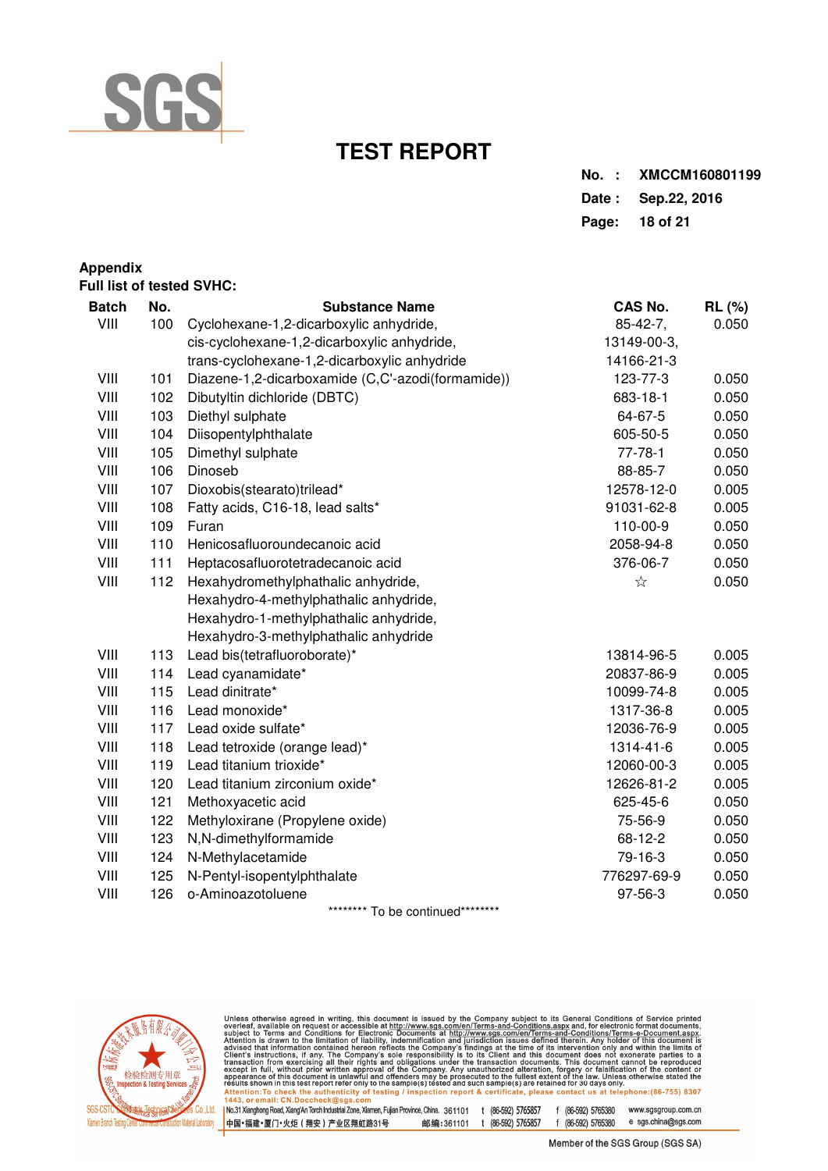

| No.: XMCCM160801199 |
|---------------------|
| Date: Sep.22, 2016  |
| Page: 18 of 21      |

## **Appendix Full list of tested SVHC: Batch No. Substance Name CAS No. RL (%)**  VIII 100 Cyclohexane-1,2-dicarboxylic anhydride,  $85-42-7$ , 0.050 cis-cyclohexane-1,2-dicarboxylic anhydride, 13149-00-3, trans-cyclohexane-1,2-dicarboxylic anhydride 14166-21-3 VIII 101 Diazene-1,2-dicarboxamide (C,C'-azodi(formamide)) 123-77-3 0.050 VIII 102 Dibutyltin dichloride (DBTC) 683-18-1 0.050 VIII 103 Diethyl sulphate 64-67-5 0.050 VIII 104 Diisopentylphthalate 605-50-5 0.050 VIII 105 Dimethyl sulphate 105 and 105 Dimethyl sulphate VIII 106 Dinoseb 88-85-7 0.050 VIII 107 Dioxobis(stearato)trilead\* 12578-12-0 0.005 VIII 108 Fatty acids, C16-18, lead salts\* 91031-62-8 0.005 VIII 109 Furan 110-00-9 0.050 VIII 110 Henicosafluoroundecanoic acid 2058-94-8 0.050 VIII 111 Heptacosafluorotetradecanoic acid 376-06-7 0.050 VIII 112 Hexahydromethylphathalic anhydride, ☆ 0.050 Hexahydro-4-methylphathalic anhydride, Hexahydro-1-methylphathalic anhydride, Hexahydro-3-methylphathalic anhydride VIII 113 Lead bis(tetrafluoroborate)\* 13814-96-5 0.005 VIII 114 Lead cyanamidate\* 20837-86-9 0.005 VIII 115 Lead dinitrate\* 10099-74-8 0.005 VIII 116 Lead monoxide\* 1317-36-8 0.005 VIII 117 Lead oxide sulfate\* 12036-76-9 0.005 VIII 118 Lead tetroxide (orange lead)\* 1314-41-6 0.005 VIII 119 Lead titanium trioxide\* 12060-00-3 0.005 VIII 120 Lead titanium zirconium oxide\* 12626-81-2 0.005 VIII 121 Methoxyacetic acid 625-45-6 0.050 VIII 122 Methyloxirane (Propylene oxide) 75-56-9 0.050 VIII 123 N,N-dimethylformamide 68-12-2 0.050 VIII 124 N-Methylacetamide 79-16-3 0.050 VIII 125 N-Pentyl-isopentylphthalate 776297-69-9 0.050 VIII 126 o-Aminoazotoluene 97-56-3 0.050

\*\*\*\*\*\*\*\*\* To be continued\*\*\*\*\*\*\*\*\*



Unless otherwise agreed in writing, this document is issued by the Company subject to its General Conditions of Service printed<br>overleaf, available on request or accessible at http://www.sgs.com/en/Terms-and-Conditions.as ction report & certificate, please contact us at telephone: (86-755) 8307 Attention: To check the authenticity of testing / insp<br>1443, or email: CN.Doccheck@sgs.com No.31 Xianghong Road, Xiang'An Torch Industrial Zone, Xiamen, Fujian Province, China. 361101 t (86-592) 5765857 f (86-592) 5765380 www.sasaroup.com.cn

e sgs.china@sgs.com 中国·福建·厦门·火炬 (翔安) 产业区翔虹路31号 邮编:361101 t (86-592) 5765857 f (86-592) 5765380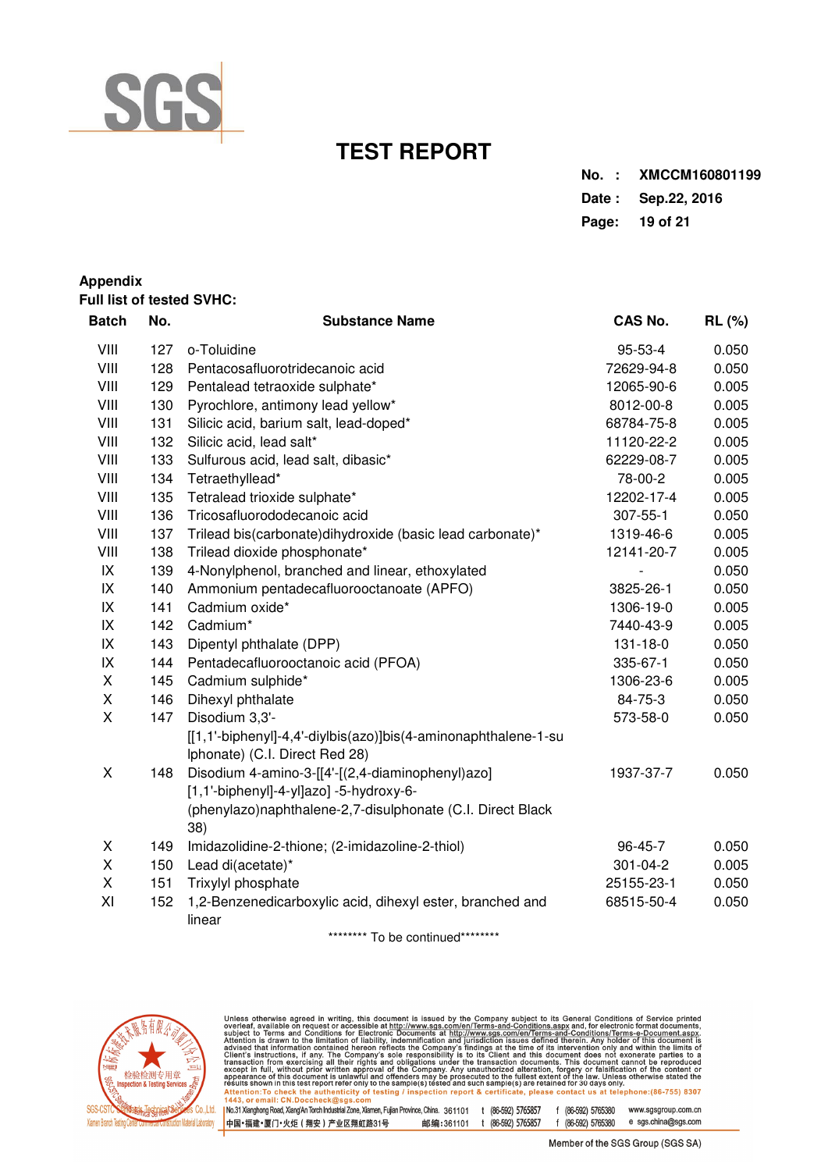

**Appendix** 

## **TEST REPORT**

| No. : XMCCM160801199 |
|----------------------|
| Date: Sep. 22, 2016  |
| Page: 19 of 21       |

| <b>Full list of tested SVHC:</b> |     |                                                                                                                                                           |                |               |  |  |  |
|----------------------------------|-----|-----------------------------------------------------------------------------------------------------------------------------------------------------------|----------------|---------------|--|--|--|
| <b>Batch</b>                     | No. | <b>Substance Name</b>                                                                                                                                     | <b>CAS No.</b> | <b>RL</b> (%) |  |  |  |
| VIII                             | 127 | o-Toluidine                                                                                                                                               | 95-53-4        | 0.050         |  |  |  |
| VIII                             | 128 | Pentacosafluorotridecanoic acid                                                                                                                           | 72629-94-8     | 0.050         |  |  |  |
| VIII                             | 129 | Pentalead tetraoxide sulphate*                                                                                                                            | 12065-90-6     | 0.005         |  |  |  |
| VIII                             | 130 | Pyrochlore, antimony lead yellow*                                                                                                                         | 8012-00-8      | 0.005         |  |  |  |
| VIII                             | 131 | Silicic acid, barium salt, lead-doped*                                                                                                                    | 68784-75-8     | 0.005         |  |  |  |
| VIII                             | 132 | Silicic acid, lead salt*                                                                                                                                  | 11120-22-2     | 0.005         |  |  |  |
| VIII                             | 133 | Sulfurous acid, lead salt, dibasic*                                                                                                                       | 62229-08-7     | 0.005         |  |  |  |
| VIII                             | 134 | Tetraethyllead*                                                                                                                                           | 78-00-2        | 0.005         |  |  |  |
| VIII                             | 135 | Tetralead trioxide sulphate*                                                                                                                              | 12202-17-4     | 0.005         |  |  |  |
| VIII                             | 136 | Tricosafluorododecanoic acid                                                                                                                              | 307-55-1       | 0.050         |  |  |  |
| VIII                             | 137 | Trilead bis(carbonate)dihydroxide (basic lead carbonate)*                                                                                                 | 1319-46-6      | 0.005         |  |  |  |
| VIII                             | 138 | Trilead dioxide phosphonate*                                                                                                                              | 12141-20-7     | 0.005         |  |  |  |
| IX                               | 139 | 4-Nonylphenol, branched and linear, ethoxylated                                                                                                           |                | 0.050         |  |  |  |
| IX                               | 140 | Ammonium pentadecafluorooctanoate (APFO)                                                                                                                  | 3825-26-1      | 0.050         |  |  |  |
| IX                               | 141 | Cadmium oxide*                                                                                                                                            | 1306-19-0      | 0.005         |  |  |  |
| IX                               | 142 | Cadmium*                                                                                                                                                  | 7440-43-9      | 0.005         |  |  |  |
| IX                               | 143 | Dipentyl phthalate (DPP)                                                                                                                                  | 131-18-0       | 0.050         |  |  |  |
| IX                               | 144 | Pentadecafluorooctanoic acid (PFOA)                                                                                                                       | 335-67-1       | 0.050         |  |  |  |
| X                                | 145 | Cadmium sulphide*                                                                                                                                         | 1306-23-6      | 0.005         |  |  |  |
| $\mathsf X$                      | 146 | Dihexyl phthalate                                                                                                                                         | 84-75-3        | 0.050         |  |  |  |
| $\sf X$                          | 147 | Disodium 3,3'-                                                                                                                                            | 573-58-0       | 0.050         |  |  |  |
|                                  |     | [[1,1'-biphenyl]-4,4'-diylbis(azo)]bis(4-aminonaphthalene-1-su<br>Iphonate) (C.I. Direct Red 28)                                                          |                |               |  |  |  |
| X                                | 148 | Disodium 4-amino-3-[[4'-[(2,4-diaminophenyl)azo]<br>[1,1'-biphenyl]-4-yl]azo] -5-hydroxy-6-<br>(phenylazo)naphthalene-2,7-disulphonate (C.I. Direct Black | 1937-37-7      | 0.050         |  |  |  |
|                                  |     | 38)                                                                                                                                                       |                |               |  |  |  |
| Χ                                | 149 | Imidazolidine-2-thione; (2-imidazoline-2-thiol)                                                                                                           | 96-45-7        | 0.050         |  |  |  |
| X                                | 150 | Lead di(acetate)*                                                                                                                                         | 301-04-2       | 0.005         |  |  |  |
| X                                | 151 | Trixylyl phosphate                                                                                                                                        | 25155-23-1     | 0.050         |  |  |  |
| XI                               | 152 | 1,2-Benzenedicarboxylic acid, dihexyl ester, branched and<br>linear                                                                                       | 68515-50-4     | 0.050         |  |  |  |

\*\*\*\*\*\*\*\*\* To be continued\*\*\*\*\*\*\*\*\*



Unless otherwise agreed in writing, this document is issued by the Company subject to its General Conditions of Service printed<br>overleaf, available on request or accessible at http://www.sgs.com/en/Terms-and-Conditions.as 1.443, or email: CN:Doccheck@sys.com<br>|No.31.Xianghong Road, Xiang'An Torch Industrial Zone, Xiamen, Fujian Province, China. 361101 t (86-592) 5765857 f (86-592) 5765380 www.sgsgroup.com.cn<br>|中国•福建•厦门•火炬(翔安)产业区翔虹路31号

Member of the SGS Group (SGS SA)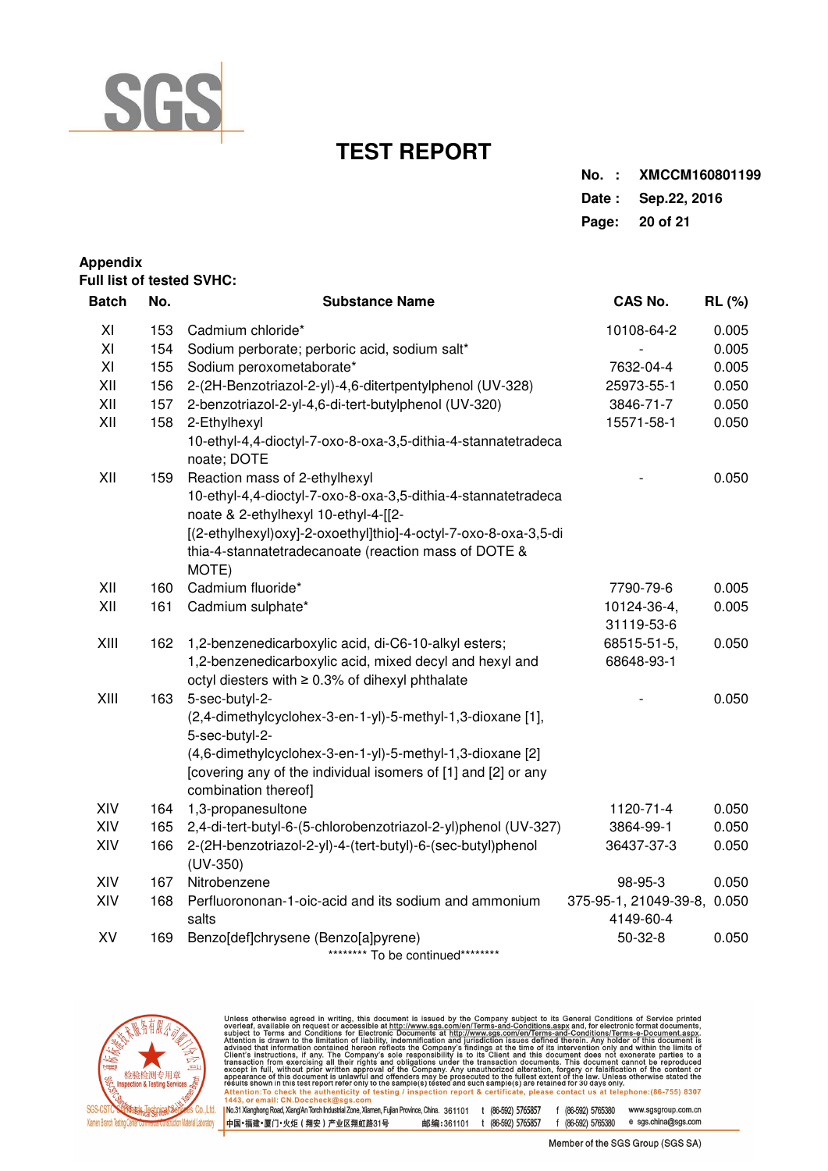

| No. : XMCCM160801199 |
|----------------------|
| Date: Sep. 22, 2016  |
| Page: 20 of 21       |

## **Appendix Full list of tested SVHC:**

| <b>Batch</b> | No.                                                                                                   | <b>Substance Name</b>                                                                                      | CAS No.               | <b>RL</b> (%) |
|--------------|-------------------------------------------------------------------------------------------------------|------------------------------------------------------------------------------------------------------------|-----------------------|---------------|
| XI           | 153                                                                                                   | Cadmium chloride*                                                                                          | 10108-64-2            | 0.005         |
| XI           | 154                                                                                                   | Sodium perborate; perboric acid, sodium salt*                                                              |                       | 0.005         |
| XI           | 155                                                                                                   | Sodium peroxometaborate*                                                                                   | 7632-04-4             | 0.005         |
| XII          | 156                                                                                                   | 2-(2H-Benzotriazol-2-yl)-4,6-ditertpentylphenol (UV-328)                                                   | 25973-55-1            | 0.050         |
| XII          | 157                                                                                                   | 2-benzotriazol-2-yl-4,6-di-tert-butylphenol (UV-320)                                                       | 3846-71-7             | 0.050         |
| XII          | 158                                                                                                   | 2-Ethylhexyl                                                                                               | 15571-58-1            | 0.050         |
|              |                                                                                                       | 10-ethyl-4,4-dioctyl-7-oxo-8-oxa-3,5-dithia-4-stannatetradeca<br>noate; DOTE                               |                       |               |
| XII          | 159                                                                                                   | Reaction mass of 2-ethylhexyl                                                                              |                       | 0.050         |
|              | 10-ethyl-4,4-dioctyl-7-oxo-8-oxa-3,5-dithia-4-stannatetradeca<br>noate & 2-ethylhexyl 10-ethyl-4-[[2- |                                                                                                            |                       |               |
|              |                                                                                                       | [(2-ethylhexyl)oxy]-2-oxoethyl]thio]-4-octyl-7-oxo-8-oxa-3,5-di                                            |                       |               |
|              |                                                                                                       | thia-4-stannatetradecanoate (reaction mass of DOTE &<br>MOTE)                                              |                       |               |
| XII          | 160                                                                                                   | Cadmium fluoride*                                                                                          | 7790-79-6             | 0.005         |
| XII          | 161                                                                                                   | Cadmium sulphate*                                                                                          | 10124-36-4,           | 0.005         |
|              |                                                                                                       |                                                                                                            | 31119-53-6            |               |
| XIII         | 162                                                                                                   | 1,2-benzenedicarboxylic acid, di-C6-10-alkyl esters;                                                       | 68515-51-5,           | 0.050         |
|              |                                                                                                       | 1,2-benzenedicarboxylic acid, mixed decyl and hexyl and<br>octyl diesters with ≥ 0.3% of dihexyl phthalate | 68648-93-1            |               |
| XIII         | 163                                                                                                   | 5-sec-butyl-2-                                                                                             |                       | 0.050         |
|              |                                                                                                       | (2,4-dimethylcyclohex-3-en-1-yl)-5-methyl-1,3-dioxane [1],<br>5-sec-butyl-2-                               |                       |               |
|              |                                                                                                       | (4,6-dimethylcyclohex-3-en-1-yl)-5-methyl-1,3-dioxane [2]                                                  |                       |               |
|              |                                                                                                       | [covering any of the individual isomers of [1] and [2] or any<br>combination thereof]                      |                       |               |
| XIV          | 164                                                                                                   | 1,3-propanesultone                                                                                         | 1120-71-4             | 0.050         |
| XIV          | 165                                                                                                   | 2,4-di-tert-butyl-6-(5-chlorobenzotriazol-2-yl)phenol (UV-327)                                             | 3864-99-1             | 0.050         |
| XIV          | 166                                                                                                   | 2-(2H-benzotriazol-2-yl)-4-(tert-butyl)-6-(sec-butyl)phenol<br>$(UV-350)$                                  | 36437-37-3            | 0.050         |
| XIV          | 167                                                                                                   | Nitrobenzene                                                                                               | 98-95-3               | 0.050         |
| XIV          | 168                                                                                                   | Perfluorononan-1-oic-acid and its sodium and ammonium                                                      | 375-95-1, 21049-39-8, | 0.050         |
|              |                                                                                                       | salts                                                                                                      | 4149-60-4             |               |
| XV           | 169                                                                                                   | Benzo[def]chrysene (Benzo[a]pyrene)                                                                        | $50 - 32 - 8$         | 0.050         |
|              |                                                                                                       | ******** To be continued********                                                                           |                       |               |



Unless otherwise agreed in writing, this document is issued by the Company subject to its General Conditions of Service printed<br>overleaf, available on request or accessible at http://www.sgs.com/en/Terms-and-Conditions.as 1.443, or email: CN:Doccheck@sys.com<br>|No.31.Xianghong Road, Xiang'An Torch Industrial Zone, Xiamen, Fujian Province, China. 361101 t (86-592) 5765857 f (86-592) 5765380 www.sgsgroup.com.cn<br>|中国•福建•厦门•火炬(翔安)产业区翔虹路31号  $f (86-592) 5765380$  e sgs.china@sgs.com